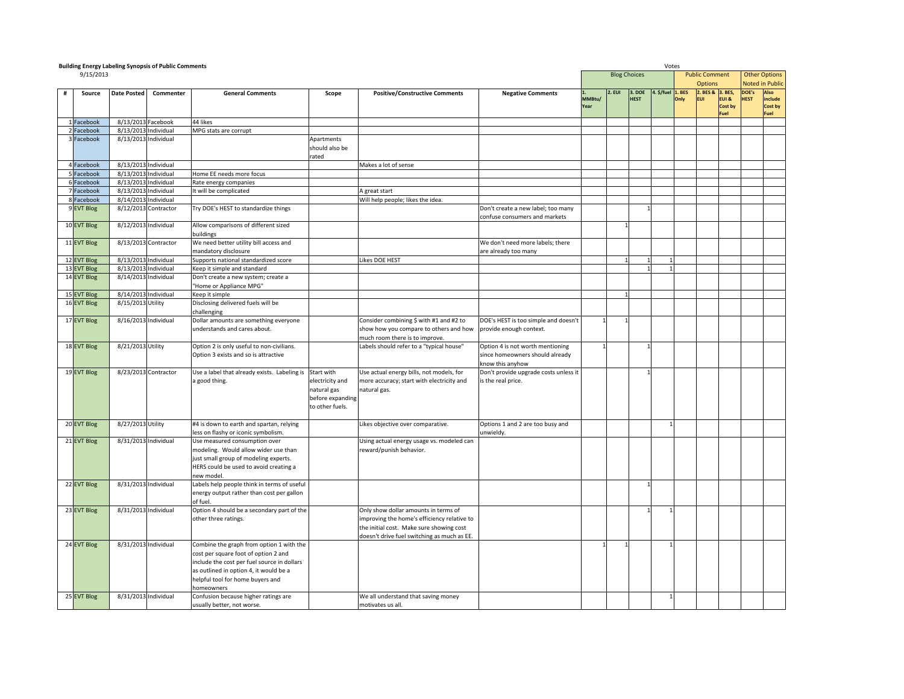|   | <b>Building Energy Labeling Synopsis of Public Comments</b> |                                                                                                                                          |                      |                                                                                   |                  |                                                                            | Votes                                               |                |                     |                       |                   |             |                                |         |               |                      |
|---|-------------------------------------------------------------|------------------------------------------------------------------------------------------------------------------------------------------|----------------------|-----------------------------------------------------------------------------------|------------------|----------------------------------------------------------------------------|-----------------------------------------------------|----------------|---------------------|-----------------------|-------------------|-------------|--------------------------------|---------|---------------|----------------------|
|   | 9/15/2013                                                   |                                                                                                                                          |                      |                                                                                   |                  |                                                                            |                                                     |                | <b>Blog Choices</b> |                       |                   |             | <b>Public Comment</b>          |         |               | <b>Other Options</b> |
|   |                                                             |                                                                                                                                          |                      |                                                                                   |                  |                                                                            |                                                     |                | 2. EUI              |                       |                   |             | <b>Options</b>                 |         |               | Noted in Publid      |
| # | Source                                                      | <b>Date Posted</b><br><b>General Comments</b><br><b>Positive/Constructive Comments</b><br>Commenter<br>Scope<br><b>Negative Comments</b> |                      |                                                                                   |                  |                                                                            |                                                     |                |                     | 3. DOE<br><b>HEST</b> | 4. \$/fuel 1. BES | <b>Inly</b> | 2. BES & 3. BES,<br><b>FUI</b> | EUI &   | DOE's<br>HEST | Also<br>include      |
|   |                                                             |                                                                                                                                          |                      |                                                                                   |                  |                                                                            |                                                     | MMBtu/<br>Year |                     |                       |                   |             |                                | Cost by |               | Cost by              |
|   |                                                             |                                                                                                                                          |                      |                                                                                   |                  |                                                                            |                                                     |                |                     |                       |                   |             |                                | Fuel    |               | Fuel                 |
|   | Facebook                                                    | 8/13/2013 Facebook                                                                                                                       |                      | 44 likes                                                                          |                  |                                                                            |                                                     |                |                     |                       |                   |             |                                |         |               |                      |
|   | Facebook                                                    | 8/13/2013 Individual                                                                                                                     |                      | MPG stats are corrupt                                                             |                  |                                                                            |                                                     |                |                     |                       |                   |             |                                |         |               |                      |
|   | Facebook                                                    | 8/13/2013 Individual                                                                                                                     |                      |                                                                                   | Apartments       |                                                                            |                                                     |                |                     |                       |                   |             |                                |         |               |                      |
|   |                                                             |                                                                                                                                          |                      |                                                                                   | should also be   |                                                                            |                                                     |                |                     |                       |                   |             |                                |         |               |                      |
|   |                                                             |                                                                                                                                          |                      |                                                                                   | rated            |                                                                            |                                                     |                |                     |                       |                   |             |                                |         |               |                      |
|   | Facebook                                                    | 8/13/2013 Individual                                                                                                                     |                      |                                                                                   |                  | Makes a lot of sense                                                       |                                                     |                |                     |                       |                   |             |                                |         |               |                      |
|   | Facebook<br>acebook                                         | 8/13/2013 Individual<br>8/13/2013 Individual                                                                                             |                      | Home EE needs more focus<br>Rate energy companies                                 |                  |                                                                            |                                                     |                |                     |                       |                   |             |                                |         |               |                      |
|   | Facebook                                                    | 8/13/2013 Individual                                                                                                                     |                      | It will be complicated                                                            |                  | A great start                                                              |                                                     |                |                     |                       |                   |             |                                |         |               |                      |
|   | Facebook                                                    | 8/14/2013 Individual                                                                                                                     |                      |                                                                                   |                  | Will help people; likes the idea.                                          |                                                     |                |                     |                       |                   |             |                                |         |               |                      |
|   | 9 EVT Blog                                                  |                                                                                                                                          | 8/12/2013 Contractor | Try DOE's HEST to standardize things                                              |                  |                                                                            | Don't create a new label; too many                  |                |                     |                       |                   |             |                                |         |               |                      |
|   |                                                             |                                                                                                                                          |                      |                                                                                   |                  |                                                                            | confuse consumers and markets                       |                |                     |                       |                   |             |                                |         |               |                      |
|   | 10 EVT Blog                                                 | 8/12/2013 Individual                                                                                                                     |                      | Allow comparisons of different sized                                              |                  |                                                                            |                                                     |                |                     |                       |                   |             |                                |         |               |                      |
|   |                                                             |                                                                                                                                          |                      | buildings                                                                         |                  |                                                                            |                                                     |                |                     |                       |                   |             |                                |         |               |                      |
|   | 11 EVT Blog                                                 |                                                                                                                                          | 8/13/2013 Contractor | We need better utility bill access and                                            |                  |                                                                            | We don't need more labels; there                    |                |                     |                       |                   |             |                                |         |               |                      |
|   |                                                             |                                                                                                                                          |                      | mandatory disclosure                                                              |                  |                                                                            | are already too many                                |                |                     |                       |                   |             |                                |         |               |                      |
|   | 12 EVT Blog                                                 | 8/13/2013 Individual                                                                                                                     |                      | Supports national standardized score                                              |                  | ikes DOE HEST                                                              |                                                     |                |                     |                       | $\mathbf{1}$      |             |                                |         |               |                      |
|   | 13 EVT Blog                                                 | 8/13/2013 Individual                                                                                                                     |                      | Keep it simple and standard                                                       |                  |                                                                            |                                                     |                |                     |                       |                   |             |                                |         |               |                      |
|   | 14 EVT Blog                                                 | 8/14/2013 Individual                                                                                                                     |                      | Don't create a new system; create a                                               |                  |                                                                            |                                                     |                |                     |                       |                   |             |                                |         |               |                      |
|   |                                                             |                                                                                                                                          |                      | "Home or Appliance MPG"                                                           |                  |                                                                            |                                                     |                |                     |                       |                   |             |                                |         |               |                      |
|   | 15 EVT Blog                                                 | 8/14/2013 Individual                                                                                                                     |                      | Keep it simple                                                                    |                  |                                                                            |                                                     |                |                     |                       |                   |             |                                |         |               |                      |
|   | 16 EVT Blog                                                 | 8/15/2013 Utility                                                                                                                        |                      | Disclosing delivered fuels will be                                                |                  |                                                                            |                                                     |                |                     |                       |                   |             |                                |         |               |                      |
|   |                                                             |                                                                                                                                          |                      | challenging                                                                       |                  |                                                                            |                                                     |                |                     |                       |                   |             |                                |         |               |                      |
|   | 17 EVT Blog                                                 | 8/16/2013 Individual                                                                                                                     |                      | Dollar amounts are something everyone                                             |                  | Consider combining \$ with #1 and #2 to                                    | DOE's HEST is too simple and doesn't                |                |                     |                       |                   |             |                                |         |               |                      |
|   |                                                             |                                                                                                                                          |                      | understands and cares about.                                                      |                  | show how you compare to others and how                                     | provide enough context.                             |                |                     |                       |                   |             |                                |         |               |                      |
|   | 18 EVT Blog                                                 | 8/21/2013 Utility                                                                                                                        |                      |                                                                                   |                  | much room there is to improve.<br>Labels should refer to a "typical house" | Option 4 is not worth mentioning                    | $\mathbf{1}$   |                     |                       |                   |             |                                |         |               |                      |
|   |                                                             |                                                                                                                                          |                      | Option 2 is only useful to non-civilians.<br>Option 3 exists and so is attractive |                  |                                                                            |                                                     |                |                     |                       |                   |             |                                |         |               |                      |
|   |                                                             |                                                                                                                                          |                      |                                                                                   |                  |                                                                            | since homeowners should already<br>know this anyhow |                |                     |                       |                   |             |                                |         |               |                      |
|   | 19 EVT Blog                                                 |                                                                                                                                          | 8/23/2013 Contractor | Use a label that already exists. Labeling is Start with                           |                  | Use actual energy bills, not models, for                                   | Don't provide upgrade costs unless it               |                |                     |                       |                   |             |                                |         |               |                      |
|   |                                                             |                                                                                                                                          |                      | a good thing.                                                                     | electricity and  | more accuracy; start with electricity and                                  | is the real price.                                  |                |                     |                       |                   |             |                                |         |               |                      |
|   |                                                             |                                                                                                                                          |                      |                                                                                   | atural gas       | atural gas.                                                                |                                                     |                |                     |                       |                   |             |                                |         |               |                      |
|   |                                                             |                                                                                                                                          |                      |                                                                                   | before expanding |                                                                            |                                                     |                |                     |                       |                   |             |                                |         |               |                      |
|   |                                                             |                                                                                                                                          |                      |                                                                                   | to other fuels.  |                                                                            |                                                     |                |                     |                       |                   |             |                                |         |               |                      |
|   |                                                             |                                                                                                                                          |                      |                                                                                   |                  |                                                                            |                                                     |                |                     |                       |                   |             |                                |         |               |                      |
|   | 20 EVT Blog                                                 | 8/27/2013 Utility                                                                                                                        |                      | #4 is down to earth and spartan, relying                                          |                  | Likes objective over comparative.                                          | Options 1 and 2 are too busy and                    |                |                     |                       | $\mathbf{1}$      |             |                                |         |               |                      |
|   |                                                             |                                                                                                                                          |                      | less on flashy or iconic symbolism.                                               |                  |                                                                            | unwieldy.                                           |                |                     |                       |                   |             |                                |         |               |                      |
|   | 21 EVT Blog                                                 | 8/31/2013 Individual                                                                                                                     |                      | Use measured consumption over                                                     |                  | Using actual energy usage vs. modeled can                                  |                                                     |                |                     |                       |                   |             |                                |         |               |                      |
|   |                                                             |                                                                                                                                          |                      | modeling. Would allow wider use than                                              |                  | reward/punish behavior.                                                    |                                                     |                |                     |                       |                   |             |                                |         |               |                      |
|   |                                                             |                                                                                                                                          |                      | just small group of modeling experts.                                             |                  |                                                                            |                                                     |                |                     |                       |                   |             |                                |         |               |                      |
|   |                                                             |                                                                                                                                          |                      | HERS could be used to avoid creating a                                            |                  |                                                                            |                                                     |                |                     |                       |                   |             |                                |         |               |                      |
|   | 22 EVT Blog                                                 | 8/31/2013 Individual                                                                                                                     |                      | new model.<br>Labels help people think in terms of useful                         |                  |                                                                            |                                                     |                |                     |                       |                   |             |                                |         |               |                      |
|   |                                                             |                                                                                                                                          |                      | energy output rather than cost per gallon                                         |                  |                                                                            |                                                     |                |                     |                       |                   |             |                                |         |               |                      |
|   |                                                             |                                                                                                                                          |                      | of fuel.                                                                          |                  |                                                                            |                                                     |                |                     |                       |                   |             |                                |         |               |                      |
|   | 23 EVT Blog                                                 | 8/31/2013 Individual                                                                                                                     |                      | Option 4 should be a secondary part of the                                        |                  | Only show dollar amounts in terms of                                       |                                                     |                |                     |                       |                   |             |                                |         |               |                      |
|   |                                                             |                                                                                                                                          |                      | other three ratings.                                                              |                  | improving the home's efficiency relative to                                |                                                     |                |                     |                       |                   |             |                                |         |               |                      |
|   |                                                             |                                                                                                                                          |                      |                                                                                   |                  | the initial cost. Make sure showing cost                                   |                                                     |                |                     |                       |                   |             |                                |         |               |                      |
|   |                                                             |                                                                                                                                          |                      |                                                                                   |                  | doesn't drive fuel switching as much as EE.                                |                                                     |                |                     |                       |                   |             |                                |         |               |                      |
|   | 24 EVT Blog                                                 | 8/31/2013 Individual                                                                                                                     |                      | Combine the graph from option 1 with the                                          |                  |                                                                            |                                                     |                |                     |                       |                   |             |                                |         |               |                      |
|   |                                                             |                                                                                                                                          |                      | cost per square foot of option 2 and                                              |                  |                                                                            |                                                     |                |                     |                       |                   |             |                                |         |               |                      |
|   |                                                             |                                                                                                                                          |                      | include the cost per fuel source in dollars                                       |                  |                                                                            |                                                     |                |                     |                       |                   |             |                                |         |               |                      |
|   |                                                             |                                                                                                                                          |                      | as outlined in option 4, it would be a                                            |                  |                                                                            |                                                     |                |                     |                       |                   |             |                                |         |               |                      |
|   |                                                             |                                                                                                                                          |                      | helpful tool for home buyers and                                                  |                  |                                                                            |                                                     |                |                     |                       |                   |             |                                |         |               |                      |
|   |                                                             |                                                                                                                                          |                      | homeowners                                                                        |                  |                                                                            |                                                     |                |                     |                       |                   |             |                                |         |               |                      |
|   | 25 EVT Blog                                                 | 8/31/2013 Individual                                                                                                                     |                      | Confusion because higher ratings are                                              |                  | We all understand that saving money                                        |                                                     |                |                     |                       |                   |             |                                |         |               |                      |
|   |                                                             |                                                                                                                                          |                      | usually better, not worse.                                                        |                  | motivates us all.                                                          |                                                     |                |                     |                       |                   |             |                                |         |               |                      |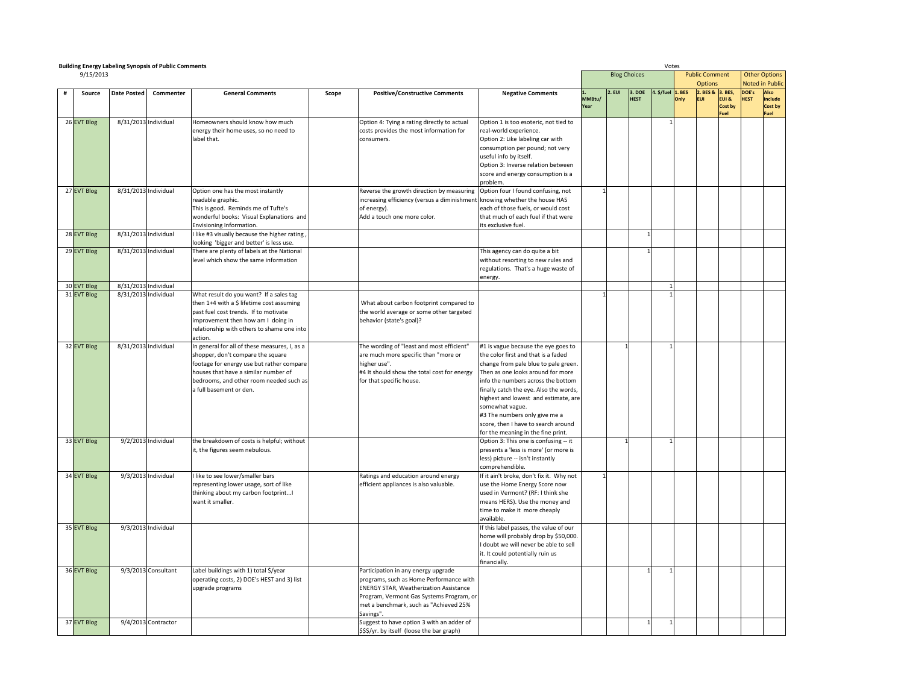|  | <b>Building Energy Labeling Synopsis of Public Comments</b> |                      |                     |                                                                                    |       |                                                                                     |                                                                    |              |                     |             |           | Votes       |                            |             |                                |             |
|--|-------------------------------------------------------------|----------------------|---------------------|------------------------------------------------------------------------------------|-------|-------------------------------------------------------------------------------------|--------------------------------------------------------------------|--------------|---------------------|-------------|-----------|-------------|----------------------------|-------------|--------------------------------|-------------|
|  | 9/15/2013                                                   |                      |                     |                                                                                    |       |                                                                                     |                                                                    |              | <b>Blog Choices</b> |             |           |             | <b>Public Comment</b>      |             | <b>Other Options</b>           |             |
|  |                                                             |                      |                     |                                                                                    |       |                                                                                     |                                                                    |              | 2. EUI              | 3. DOE      | . \$/fuel | <b>BES</b>  | <b>Options</b><br>2. BES & | 3. BES,     | Noted in Publi<br><b>DOE's</b> | <b>Also</b> |
|  | Source                                                      | <b>Date Posted</b>   | Commenter           | <b>General Comments</b>                                                            | Scope | <b>Positive/Constructive Comments</b>                                               | <b>Negative Comments</b>                                           | MMBtu/       |                     | <b>HEST</b> |           | <b>Inly</b> | <b>EUI</b>                 | EUI &       | <b>HEST</b>                    | include     |
|  |                                                             |                      |                     |                                                                                    |       |                                                                                     |                                                                    | 'ear         |                     |             |           |             |                            | Cost by     |                                | Cost by     |
|  | 26 EVT Blog                                                 | 8/31/2013 Individual |                     | Homeowners should know how much                                                    |       | Option 4: Tying a rating directly to actual                                         | Option 1 is too esoteric, not tied to                              |              |                     |             |           |             |                            | <b>Fuel</b> |                                | Fuel        |
|  |                                                             |                      |                     | energy their home uses, so no need to                                              |       | costs provides the most information for                                             | real-world experience.                                             |              |                     |             |           |             |                            |             |                                |             |
|  |                                                             |                      |                     | label that.                                                                        |       | consumers.                                                                          | Option 2: Like labeling car with                                   |              |                     |             |           |             |                            |             |                                |             |
|  |                                                             |                      |                     |                                                                                    |       |                                                                                     | consumption per pound; not very                                    |              |                     |             |           |             |                            |             |                                |             |
|  |                                                             |                      |                     |                                                                                    |       |                                                                                     | useful info by itself.                                             |              |                     |             |           |             |                            |             |                                |             |
|  |                                                             |                      |                     |                                                                                    |       |                                                                                     | Option 3: Inverse relation between                                 |              |                     |             |           |             |                            |             |                                |             |
|  |                                                             |                      |                     |                                                                                    |       |                                                                                     | score and energy consumption is a                                  |              |                     |             |           |             |                            |             |                                |             |
|  |                                                             |                      |                     |                                                                                    |       |                                                                                     | problem.                                                           |              |                     |             |           |             |                            |             |                                |             |
|  | 27 EVT Blog                                                 | 8/31/2013 Individual |                     | Option one has the most instantly                                                  |       | Reverse the growth direction by measuring                                           | Option four I found confusing, not                                 | $\mathbf{1}$ |                     |             |           |             |                            |             |                                |             |
|  |                                                             |                      |                     | readable graphic.                                                                  |       | increasing efficiency (versus a diminishment knowing whether the house HAS          |                                                                    |              |                     |             |           |             |                            |             |                                |             |
|  |                                                             |                      |                     | This is good. Reminds me of Tufte's                                                |       | of energy).                                                                         | each of those fuels, or would cost                                 |              |                     |             |           |             |                            |             |                                |             |
|  |                                                             |                      |                     | wonderful books: Visual Explanations and<br>Envisioning Information.               |       | Add a touch one more color.                                                         | that much of each fuel if that were<br>ts exclusive fuel.          |              |                     |             |           |             |                            |             |                                |             |
|  | 28 EVT Blog                                                 | 8/31/2013 Individual |                     | I like #3 visually because the higher rating,                                      |       |                                                                                     |                                                                    |              |                     |             |           |             |                            |             |                                |             |
|  |                                                             |                      |                     | looking 'bigger and better' is less use.                                           |       |                                                                                     |                                                                    |              |                     |             |           |             |                            |             |                                |             |
|  | 29 EVT Blog                                                 | 8/31/2013 Individual |                     | There are plenty of labels at the National                                         |       |                                                                                     | This agency can do quite a bit                                     |              |                     |             |           |             |                            |             |                                |             |
|  |                                                             |                      |                     | evel which show the same information                                               |       |                                                                                     | without resorting to new rules and                                 |              |                     |             |           |             |                            |             |                                |             |
|  |                                                             |                      |                     |                                                                                    |       |                                                                                     | regulations. That's a huge waste of                                |              |                     |             |           |             |                            |             |                                |             |
|  |                                                             |                      |                     |                                                                                    |       |                                                                                     | energy.                                                            |              |                     |             |           |             |                            |             |                                |             |
|  | 30 EVT Blog                                                 | 8/31/2013 Individual |                     |                                                                                    |       |                                                                                     |                                                                    |              |                     |             |           |             |                            |             |                                |             |
|  | 31 EVT Blog                                                 | 8/31/2013 Individual |                     | What result do you want? If a sales tag                                            |       |                                                                                     |                                                                    |              |                     |             |           |             |                            |             |                                |             |
|  |                                                             |                      |                     | then 1+4 with a \$ lifetime cost assuming<br>past fuel cost trends. If to motivate |       | What about carbon footprint compared to<br>the world average or some other targeted |                                                                    |              |                     |             |           |             |                            |             |                                |             |
|  |                                                             |                      |                     | mprovement then how am I doing in                                                  |       | behavior (state's goal)?                                                            |                                                                    |              |                     |             |           |             |                            |             |                                |             |
|  |                                                             |                      |                     | relationship with others to shame one into                                         |       |                                                                                     |                                                                    |              |                     |             |           |             |                            |             |                                |             |
|  |                                                             |                      |                     | action.                                                                            |       |                                                                                     |                                                                    |              |                     |             |           |             |                            |             |                                |             |
|  | 32 EVT Blog                                                 | 8/31/2013 Individual |                     | In general for all of these measures, I, as a                                      |       | The wording of "least and most efficient"                                           | #1 is vague because the eye goes to                                |              |                     |             |           |             |                            |             |                                |             |
|  |                                                             |                      |                     | shopper, don't compare the square                                                  |       | are much more specific than "more or                                                | he color first and that is a faded:                                |              |                     |             |           |             |                            |             |                                |             |
|  |                                                             |                      |                     | footage for energy use but rather compare                                          |       | higher use".                                                                        | change from pale blue to pale green.                               |              |                     |             |           |             |                            |             |                                |             |
|  |                                                             |                      |                     | houses that have a similar number of                                               |       | #4 It should show the total cost for energy                                         | Then as one looks around for more                                  |              |                     |             |           |             |                            |             |                                |             |
|  |                                                             |                      |                     | bedrooms, and other room needed such as                                            |       | for that specific house.                                                            | info the numbers across the bottom                                 |              |                     |             |           |             |                            |             |                                |             |
|  |                                                             |                      |                     | I full basement or den.                                                            |       |                                                                                     | inally catch the eye. Also the words,                              |              |                     |             |           |             |                            |             |                                |             |
|  |                                                             |                      |                     |                                                                                    |       |                                                                                     | highest and lowest and estimate, are                               |              |                     |             |           |             |                            |             |                                |             |
|  |                                                             |                      |                     |                                                                                    |       |                                                                                     | somewhat vague.<br>#3 The numbers only give me a                   |              |                     |             |           |             |                            |             |                                |             |
|  |                                                             |                      |                     |                                                                                    |       |                                                                                     | score, then I have to search around                                |              |                     |             |           |             |                            |             |                                |             |
|  |                                                             |                      |                     |                                                                                    |       |                                                                                     | for the meaning in the fine print.                                 |              |                     |             |           |             |                            |             |                                |             |
|  | 33 EVT Blog                                                 | 9/2/2013 Individual  |                     | the breakdown of costs is helpful; without                                         |       |                                                                                     | Option 3: This one is confusing -- it                              |              |                     |             |           |             |                            |             |                                |             |
|  |                                                             |                      |                     | t, the figures seem nebulous.                                                      |       |                                                                                     | presents a 'less is more' (or more is                              |              |                     |             |           |             |                            |             |                                |             |
|  |                                                             |                      |                     |                                                                                    |       |                                                                                     | less) picture -- isn't instantly                                   |              |                     |             |           |             |                            |             |                                |             |
|  |                                                             |                      |                     |                                                                                    |       |                                                                                     | comprehendible.                                                    |              |                     |             |           |             |                            |             |                                |             |
|  | 34 EVT Blog                                                 | 9/3/2013 Individual  |                     | I like to see lower/smaller bars                                                   |       | Ratings and education around energy                                                 | If it ain't broke, don't fix it. Why not                           | $\mathbf{1}$ |                     |             |           |             |                            |             |                                |             |
|  |                                                             |                      |                     | representing lower usage, sort of like<br>thinking about my carbon footprint!      |       | efficient appliances is also valuable.                                              | use the Home Energy Score now<br>used in Vermont? (RF: I think she |              |                     |             |           |             |                            |             |                                |             |
|  |                                                             |                      |                     | want it smaller.                                                                   |       |                                                                                     | means HERS). Use the money and                                     |              |                     |             |           |             |                            |             |                                |             |
|  |                                                             |                      |                     |                                                                                    |       |                                                                                     | time to make it more cheaply                                       |              |                     |             |           |             |                            |             |                                |             |
|  |                                                             |                      |                     |                                                                                    |       |                                                                                     | available.                                                         |              |                     |             |           |             |                            |             |                                |             |
|  | 35 EVT Blog                                                 | 9/3/2013 Individual  |                     |                                                                                    |       |                                                                                     | If this label passes, the value of our                             |              |                     |             |           |             |                            |             |                                |             |
|  |                                                             |                      |                     |                                                                                    |       |                                                                                     | home will probably drop by \$50,000.                               |              |                     |             |           |             |                            |             |                                |             |
|  |                                                             |                      |                     |                                                                                    |       |                                                                                     | I doubt we will never be able to sell                              |              |                     |             |           |             |                            |             |                                |             |
|  |                                                             |                      |                     |                                                                                    |       |                                                                                     | it. It could potentially ruin us                                   |              |                     |             |           |             |                            |             |                                |             |
|  | 36 EVT Blog                                                 |                      | 9/3/2013 Consultant | Label buildings with 1) total \$/year                                              |       | Participation in any energy upgrade                                                 | inancially.                                                        |              |                     |             |           |             |                            |             |                                |             |
|  |                                                             |                      |                     | operating costs, 2) DOE's HEST and 3) list                                         |       | programs, such as Home Performance with                                             |                                                                    |              |                     |             |           |             |                            |             |                                |             |
|  |                                                             |                      |                     | upgrade programs                                                                   |       | <b>ENERGY STAR, Weatherization Assistance</b>                                       |                                                                    |              |                     |             |           |             |                            |             |                                |             |
|  |                                                             |                      |                     |                                                                                    |       | Program, Vermont Gas Systems Program, or                                            |                                                                    |              |                     |             |           |             |                            |             |                                |             |
|  |                                                             |                      |                     |                                                                                    |       | met a benchmark, such as "Achieved 25%                                              |                                                                    |              |                     |             |           |             |                            |             |                                |             |
|  |                                                             |                      |                     |                                                                                    |       | Savings".                                                                           |                                                                    |              |                     |             |           |             |                            |             |                                |             |
|  | 37 EVT Blog                                                 |                      | 9/4/2013 Contractor |                                                                                    |       | Suggest to have option 3 with an adder of                                           |                                                                    |              |                     |             |           |             |                            |             |                                |             |
|  |                                                             |                      |                     |                                                                                    |       | \$\$\$/vr. by itself (loose the bar graph)                                          |                                                                    |              |                     |             |           |             |                            |             |                                |             |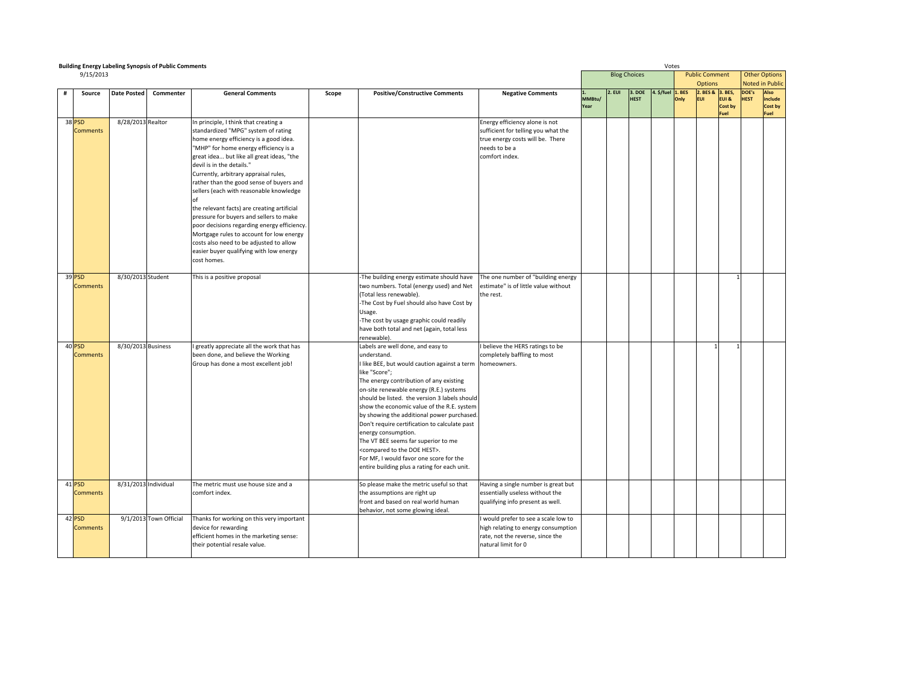| <b>Building Energy Labeling Synopsis of Public Comments</b> |                      |                        |                                                                                                                                                                                                                                                                                                                                                                                                                                                                                                                                                                                                                                                                     |       | Votes                                                                                                                                                                                                                                                                                                                                                                                                                                                                                                                                                                                                                              |                                                                                                                                              |                |                     |                       |                   |      |                                         |                          |                      |                                                |
|-------------------------------------------------------------|----------------------|------------------------|---------------------------------------------------------------------------------------------------------------------------------------------------------------------------------------------------------------------------------------------------------------------------------------------------------------------------------------------------------------------------------------------------------------------------------------------------------------------------------------------------------------------------------------------------------------------------------------------------------------------------------------------------------------------|-------|------------------------------------------------------------------------------------------------------------------------------------------------------------------------------------------------------------------------------------------------------------------------------------------------------------------------------------------------------------------------------------------------------------------------------------------------------------------------------------------------------------------------------------------------------------------------------------------------------------------------------------|----------------------------------------------------------------------------------------------------------------------------------------------|----------------|---------------------|-----------------------|-------------------|------|-----------------------------------------|--------------------------|----------------------|------------------------------------------------|
| 9/15/2013                                                   |                      |                        |                                                                                                                                                                                                                                                                                                                                                                                                                                                                                                                                                                                                                                                                     |       |                                                                                                                                                                                                                                                                                                                                                                                                                                                                                                                                                                                                                                    |                                                                                                                                              |                | <b>Blog Choices</b> |                       |                   |      | <b>Public Comment</b><br><b>Options</b> |                          |                      | <b>Other Options</b><br><b>Noted in Public</b> |
| Source                                                      | <b>Date Posted</b>   | Commenter              | <b>General Comments</b>                                                                                                                                                                                                                                                                                                                                                                                                                                                                                                                                                                                                                                             | Scope | <b>Positive/Constructive Comments</b>                                                                                                                                                                                                                                                                                                                                                                                                                                                                                                                                                                                              | <b>Negative Comments</b>                                                                                                                     | MMBtu/<br>Year | 2.EUI               | 3. DOE<br><b>HEST</b> | 4. \$/fuel 1. BES | Only | 2. BES & 3. BES,<br><b>EUI</b>          | EUI &<br>Cost by<br>Fuel | DOE's<br><b>HEST</b> | Also<br>include<br>Cost by<br>Fuel             |
| 38 PSD<br><b>Comments</b>                                   | 8/28/2013 Realtor    |                        | In principle, I think that creating a<br>standardized "MPG" system of rating<br>home energy efficiency is a good idea.<br>"MHP" for home energy efficiency is a<br>great idea but like all great ideas, "the<br>devil is in the details."<br>Currently, arbitrary appraisal rules,<br>rather than the good sense of buyers and<br>sellers (each with reasonable knowledge<br>the relevant facts) are creating artificial<br>pressure for buyers and sellers to make<br>poor decisions regarding energy efficiency.<br>Mortgage rules to account for low energy<br>costs also need to be adjusted to allow<br>easier buyer qualifying with low energy<br>cost homes. |       |                                                                                                                                                                                                                                                                                                                                                                                                                                                                                                                                                                                                                                    | Energy efficiency alone is not<br>sufficient for telling you what the<br>true energy costs will be. There<br>needs to be a<br>comfort index. |                |                     |                       |                   |      |                                         |                          |                      |                                                |
| 39 PSD<br><b>Comments</b>                                   | 8/30/2013 Student    |                        | This is a positive proposal                                                                                                                                                                                                                                                                                                                                                                                                                                                                                                                                                                                                                                         |       | -The building energy estimate should have<br>two numbers. Total (energy used) and Net<br>(Total less renewable).<br>-The Cost by Fuel should also have Cost by<br>Usage.<br>-The cost by usage graphic could readily<br>have both total and net (again, total less<br>renewable).                                                                                                                                                                                                                                                                                                                                                  | The one number of "building energy<br>estimate" is of little value without<br>the rest.                                                      |                |                     |                       |                   |      |                                         |                          |                      |                                                |
| 40 PSD<br><b>Comments</b>                                   | 8/30/2013 Business   |                        | greatly appreciate all the work that has<br>been done, and believe the Working<br>Group has done a most excellent job!                                                                                                                                                                                                                                                                                                                                                                                                                                                                                                                                              |       | Labels are well done, and easy to<br>understand.<br>I like BEE, but would caution against a term homeowners.<br>like "Score";<br>The energy contribution of any existing<br>on-site renewable energy (R.E.) systems<br>should be listed. the version 3 labels should<br>show the economic value of the R.E. system<br>by showing the additional power purchased.<br>Don't require certification to calculate past<br>energy consumption.<br>The VT BEE seems far superior to me<br><compared doe="" hest="" the="" to="">.<br/>For MF, I would favor one score for the<br/>entire building plus a rating for each unit.</compared> | I believe the HERS ratings to be<br>completely baffling to most                                                                              |                |                     |                       |                   |      |                                         |                          |                      |                                                |
| 41 PSD<br>Comments                                          | 8/31/2013 Individual |                        | The metric must use house size and a<br>comfort index.                                                                                                                                                                                                                                                                                                                                                                                                                                                                                                                                                                                                              |       | So please make the metric useful so that<br>the assumptions are right up<br>front and based on real world human<br>behavior, not some glowing ideal.                                                                                                                                                                                                                                                                                                                                                                                                                                                                               | Having a single number is great but<br>essentially useless without the<br>qualifying info present as well.                                   |                |                     |                       |                   |      |                                         |                          |                      |                                                |
| 42 PSD<br><b>Comments</b>                                   |                      | 9/1/2013 Town Official | Thanks for working on this very important<br>device for rewarding<br>efficient homes in the marketing sense:<br>their potential resale value.                                                                                                                                                                                                                                                                                                                                                                                                                                                                                                                       |       |                                                                                                                                                                                                                                                                                                                                                                                                                                                                                                                                                                                                                                    | would prefer to see a scale low to<br>high relating to energy consumption<br>rate, not the reverse, since the<br>natural limit for 0         |                |                     |                       |                   |      |                                         |                          |                      |                                                |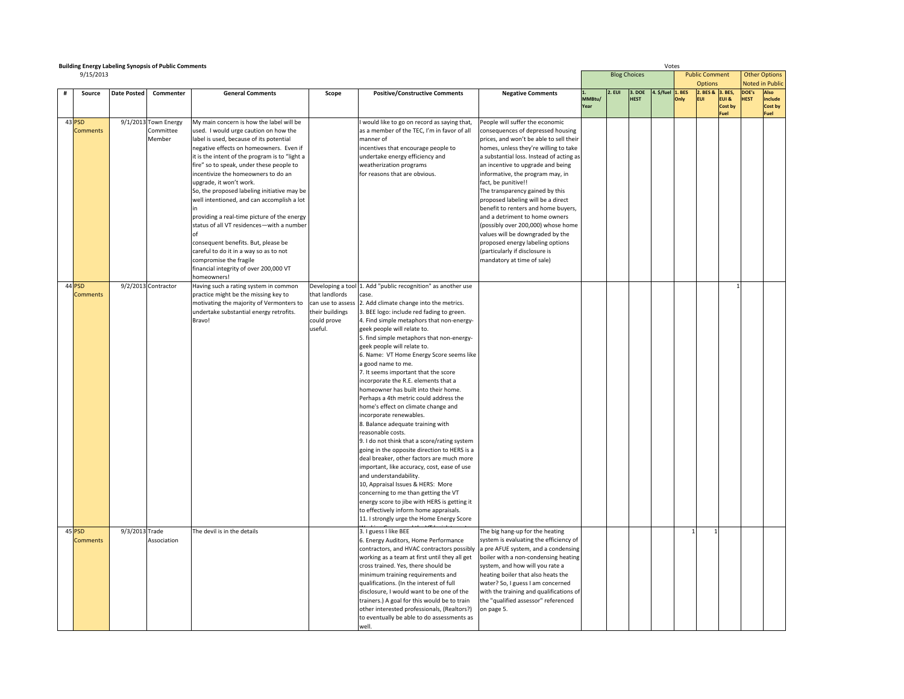|   | <b>Building Energy Labeling Synopsis of Public Comments</b> |                    |                      |                                                                                           |                        |                                                                               |                                                                       |        |        |                     | Votes      |               |                                    |         |             |                                |
|---|-------------------------------------------------------------|--------------------|----------------------|-------------------------------------------------------------------------------------------|------------------------|-------------------------------------------------------------------------------|-----------------------------------------------------------------------|--------|--------|---------------------|------------|---------------|------------------------------------|---------|-------------|--------------------------------|
|   | 9/15/2013                                                   |                    |                      |                                                                                           |                        |                                                                               |                                                                       |        |        | <b>Blog Choices</b> |            |               | <b>Public Comment</b>              |         |             | <b>Other Options</b>           |
|   |                                                             |                    |                      |                                                                                           |                        |                                                                               |                                                                       |        |        | 3. DOE              |            |               | <b>Options</b><br>2. BES & 3. BES, |         | DOE's       | <b>Noted in Publid</b><br>Also |
| # | Source                                                      | <b>Date Posted</b> | Commenter            | <b>General Comments</b>                                                                   | Scope                  | <b>Positive/Constructive Comments</b>                                         | <b>Negative Comments</b>                                              | MMBtu/ | 2. EUI | <b>HEST</b>         | 4. \$/fuel | . BES<br>Only | FUI.                               | EUI &   | <b>HEST</b> | include                        |
|   |                                                             |                    |                      |                                                                                           |                        |                                                                               |                                                                       | Year   |        |                     |            |               |                                    | Cost by |             | Cost by                        |
|   | 43 PSD                                                      |                    | 9/1/2013 Town Energy | My main concern is how the label will be                                                  |                        | would like to go on record as saying that,                                    | People will suffer the economic                                       |        |        |                     |            |               |                                    | Fuel    |             | Fuel                           |
|   | <b>Comments</b>                                             |                    | Committee            | used. I would urge caution on how the                                                     |                        | as a member of the TEC, I'm in favor of all                                   | consequences of depressed housing                                     |        |        |                     |            |               |                                    |         |             |                                |
|   |                                                             |                    | Member               | label is used, because of its potential                                                   |                        | manner of                                                                     | prices, and won't be able to sell their                               |        |        |                     |            |               |                                    |         |             |                                |
|   |                                                             |                    |                      | negative effects on homeowners. Even if                                                   |                        | incentives that encourage people to                                           | homes, unless they're willing to take                                 |        |        |                     |            |               |                                    |         |             |                                |
|   |                                                             |                    |                      | it is the intent of the program is to "light a                                            |                        | undertake energy efficiency and                                               | a substantial loss. Instead of acting as                              |        |        |                     |            |               |                                    |         |             |                                |
|   |                                                             |                    |                      | fire" so to speak, under these people to                                                  |                        | weatherization programs                                                       | an incentive to upgrade and being                                     |        |        |                     |            |               |                                    |         |             |                                |
|   |                                                             |                    |                      | incentivize the homeowners to do an                                                       |                        | for reasons that are obvious.                                                 | informative, the program may, in                                      |        |        |                     |            |               |                                    |         |             |                                |
|   |                                                             |                    |                      | upgrade, it won't work.                                                                   |                        |                                                                               | fact, be punitive!!                                                   |        |        |                     |            |               |                                    |         |             |                                |
|   |                                                             |                    |                      | So, the proposed labeling initiative may be<br>well intentioned, and can accomplish a lot |                        |                                                                               | The transparency gained by this<br>proposed labeling will be a direct |        |        |                     |            |               |                                    |         |             |                                |
|   |                                                             |                    |                      |                                                                                           |                        |                                                                               | benefit to renters and home buyers,                                   |        |        |                     |            |               |                                    |         |             |                                |
|   |                                                             |                    |                      | providing a real-time picture of the energy                                               |                        |                                                                               | and a detriment to home owners                                        |        |        |                     |            |               |                                    |         |             |                                |
|   |                                                             |                    |                      | status of all VT residences-with a number                                                 |                        |                                                                               | (possibly over 200,000) whose home                                    |        |        |                     |            |               |                                    |         |             |                                |
|   |                                                             |                    |                      |                                                                                           |                        |                                                                               | values will be downgraded by the                                      |        |        |                     |            |               |                                    |         |             |                                |
|   |                                                             |                    |                      | consequent benefits. But, please be                                                       |                        |                                                                               | proposed energy labeling options                                      |        |        |                     |            |               |                                    |         |             |                                |
|   |                                                             |                    |                      | careful to do it in a way so as to not                                                    |                        |                                                                               | (particularly if disclosure is                                        |        |        |                     |            |               |                                    |         |             |                                |
|   |                                                             |                    |                      | compromise the fragile<br>financial integrity of over 200,000 VT                          |                        |                                                                               | mandatory at time of sale)                                            |        |        |                     |            |               |                                    |         |             |                                |
|   |                                                             |                    |                      | nomeowners!                                                                               |                        |                                                                               |                                                                       |        |        |                     |            |               |                                    |         |             |                                |
|   | 44 PSD                                                      |                    | 9/2/2013 Contractor  | Having such a rating system in common                                                     |                        | Developing a tool 1. Add "public recognition" as another use                  |                                                                       |        |        |                     |            |               |                                    |         |             |                                |
|   | <b>Comments</b>                                             |                    |                      | practice might be the missing key to                                                      | that landlords         | ase.                                                                          |                                                                       |        |        |                     |            |               |                                    |         |             |                                |
|   |                                                             |                    |                      | motivating the majority of Vermonters to                                                  | can use to assess      | 2. Add climate change into the metrics.                                       |                                                                       |        |        |                     |            |               |                                    |         |             |                                |
|   |                                                             |                    |                      | undertake substantial energy retrofits.                                                   | their buildings        | 3. BEE logo: include red fading to green.                                     |                                                                       |        |        |                     |            |               |                                    |         |             |                                |
|   |                                                             |                    |                      | Bravo!                                                                                    | could prove<br>useful. | 4. Find simple metaphors that non-energy-                                     |                                                                       |        |        |                     |            |               |                                    |         |             |                                |
|   |                                                             |                    |                      |                                                                                           |                        | geek people will relate to.<br>5. find simple metaphors that non-energy-      |                                                                       |        |        |                     |            |               |                                    |         |             |                                |
|   |                                                             |                    |                      |                                                                                           |                        | geek people will relate to.                                                   |                                                                       |        |        |                     |            |               |                                    |         |             |                                |
|   |                                                             |                    |                      |                                                                                           |                        | 6. Name: VT Home Energy Score seems like                                      |                                                                       |        |        |                     |            |               |                                    |         |             |                                |
|   |                                                             |                    |                      |                                                                                           |                        | good name to me.                                                              |                                                                       |        |        |                     |            |               |                                    |         |             |                                |
|   |                                                             |                    |                      |                                                                                           |                        | 7. It seems important that the score                                          |                                                                       |        |        |                     |            |               |                                    |         |             |                                |
|   |                                                             |                    |                      |                                                                                           |                        | incorporate the R.E. elements that a                                          |                                                                       |        |        |                     |            |               |                                    |         |             |                                |
|   |                                                             |                    |                      |                                                                                           |                        | homeowner has built into their home.                                          |                                                                       |        |        |                     |            |               |                                    |         |             |                                |
|   |                                                             |                    |                      |                                                                                           |                        | Perhaps a 4th metric could address the<br>home's effect on climate change and |                                                                       |        |        |                     |            |               |                                    |         |             |                                |
|   |                                                             |                    |                      |                                                                                           |                        | incorporate renewables.                                                       |                                                                       |        |        |                     |            |               |                                    |         |             |                                |
|   |                                                             |                    |                      |                                                                                           |                        | 8. Balance adequate training with                                             |                                                                       |        |        |                     |            |               |                                    |         |             |                                |
|   |                                                             |                    |                      |                                                                                           |                        | reasonable costs.                                                             |                                                                       |        |        |                     |            |               |                                    |         |             |                                |
|   |                                                             |                    |                      |                                                                                           |                        | 9. I do not think that a score/rating system                                  |                                                                       |        |        |                     |            |               |                                    |         |             |                                |
|   |                                                             |                    |                      |                                                                                           |                        | going in the opposite direction to HERS is a                                  |                                                                       |        |        |                     |            |               |                                    |         |             |                                |
|   |                                                             |                    |                      |                                                                                           |                        | deal breaker, other factors are much more                                     |                                                                       |        |        |                     |            |               |                                    |         |             |                                |
|   |                                                             |                    |                      |                                                                                           |                        | important, like accuracy, cost, ease of use<br>and understandability.         |                                                                       |        |        |                     |            |               |                                    |         |             |                                |
|   |                                                             |                    |                      |                                                                                           |                        | 10, Appraisal Issues & HERS: More                                             |                                                                       |        |        |                     |            |               |                                    |         |             |                                |
|   |                                                             |                    |                      |                                                                                           |                        | concerning to me than getting the VT                                          |                                                                       |        |        |                     |            |               |                                    |         |             |                                |
|   |                                                             |                    |                      |                                                                                           |                        | energy score to jibe with HERS is getting it                                  |                                                                       |        |        |                     |            |               |                                    |         |             |                                |
|   |                                                             |                    |                      |                                                                                           |                        | to effectively inform home appraisals.                                        |                                                                       |        |        |                     |            |               |                                    |         |             |                                |
|   |                                                             |                    |                      |                                                                                           |                        | 11. I strongly urge the Home Energy Score                                     |                                                                       |        |        |                     |            |               |                                    |         |             |                                |
|   | 45 PSD                                                      | 9/3/2013 Trade     |                      | The devil is in the details                                                               |                        | 3. I guess I like BEE                                                         | The big hang-up for the heating                                       |        |        |                     |            |               |                                    |         |             |                                |
|   | <b>Comments</b>                                             |                    | Association          |                                                                                           |                        | 6. Energy Auditors, Home Performance                                          | system is evaluating the efficiency of                                |        |        |                     |            |               |                                    |         |             |                                |
|   |                                                             |                    |                      |                                                                                           |                        | contractors, and HVAC contractors possibly                                    | a pre AFUE system, and a condensing                                   |        |        |                     |            |               |                                    |         |             |                                |
|   |                                                             |                    |                      |                                                                                           |                        | working as a team at first until they all get                                 | boiler with a non-condensing heating                                  |        |        |                     |            |               |                                    |         |             |                                |
|   |                                                             |                    |                      |                                                                                           |                        | cross trained. Yes, there should be<br>minimum training requirements and      | system, and how will you rate a<br>heating boiler that also heats the |        |        |                     |            |               |                                    |         |             |                                |
|   |                                                             |                    |                      |                                                                                           |                        | qualifications. (In the interest of full                                      | water? So, I guess I am concerned                                     |        |        |                     |            |               |                                    |         |             |                                |
|   |                                                             |                    |                      |                                                                                           |                        | disclosure, I would want to be one of the                                     | with the training and qualifications of                               |        |        |                     |            |               |                                    |         |             |                                |
|   |                                                             |                    |                      |                                                                                           |                        | trainers.) A goal for this would be to train                                  | the "qualified assessor" referenced                                   |        |        |                     |            |               |                                    |         |             |                                |
|   |                                                             |                    |                      |                                                                                           |                        | other interested professionals, (Realtors?)                                   | on page 5.                                                            |        |        |                     |            |               |                                    |         |             |                                |
|   |                                                             |                    |                      |                                                                                           |                        | to eventually be able to do assessments as                                    |                                                                       |        |        |                     |            |               |                                    |         |             |                                |
|   |                                                             |                    |                      |                                                                                           |                        | llew                                                                          |                                                                       |        |        |                     |            |               |                                    |         |             |                                |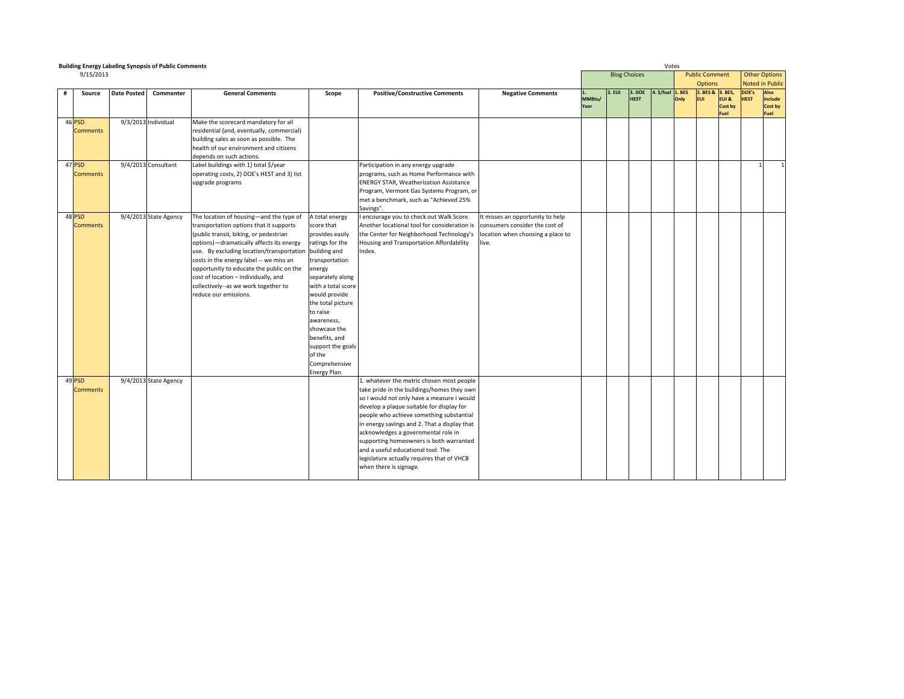|                           | <b>Building Energy Labeling Synopsis of Public Comments</b> |                       |                                                                                                                                                                                                                                                                                                                                                                                                                                    |                                                                                                                                                                                                                                                                                                           |                                                                                                                                                                                                                                                                                                                                                                                                                                                                                |                                                                                                                  |                |                     |                       | Votes             |      |                                         |                                 |                      |                                                |
|---------------------------|-------------------------------------------------------------|-----------------------|------------------------------------------------------------------------------------------------------------------------------------------------------------------------------------------------------------------------------------------------------------------------------------------------------------------------------------------------------------------------------------------------------------------------------------|-----------------------------------------------------------------------------------------------------------------------------------------------------------------------------------------------------------------------------------------------------------------------------------------------------------|--------------------------------------------------------------------------------------------------------------------------------------------------------------------------------------------------------------------------------------------------------------------------------------------------------------------------------------------------------------------------------------------------------------------------------------------------------------------------------|------------------------------------------------------------------------------------------------------------------|----------------|---------------------|-----------------------|-------------------|------|-----------------------------------------|---------------------------------|----------------------|------------------------------------------------|
| 9/15/2013                 |                                                             |                       |                                                                                                                                                                                                                                                                                                                                                                                                                                    |                                                                                                                                                                                                                                                                                                           |                                                                                                                                                                                                                                                                                                                                                                                                                                                                                |                                                                                                                  |                | <b>Blog Choices</b> |                       |                   |      | <b>Public Comment</b><br><b>Options</b> |                                 |                      | <b>Other Options</b><br><b>Noted in Public</b> |
| Source<br>#               | <b>Date Posted</b>                                          | Commenter             | <b>General Comments</b>                                                                                                                                                                                                                                                                                                                                                                                                            | Scope                                                                                                                                                                                                                                                                                                     | <b>Positive/Constructive Comments</b>                                                                                                                                                                                                                                                                                                                                                                                                                                          | <b>Negative Comments</b>                                                                                         | MMBtu/<br>Year | 2. EUI              | 3. DOE<br><b>HEST</b> | 4. \$/fuel 1. BES | Only | 2. BES & 3. BES,<br><b>EUI</b>          | EUI &<br><b>Cost by</b><br>Fuel | DOE's<br><b>HEST</b> | Also<br>include<br>Cost by<br>Fuel             |
| 46 PSD<br><b>Comments</b> |                                                             | 9/3/2013 Individual   | Make the scorecard mandatory for all<br>residential (and, eventually, commercial)<br>building sales as soon as possible. The<br>health of our environment and citizens<br>depends on such actions.                                                                                                                                                                                                                                 |                                                                                                                                                                                                                                                                                                           |                                                                                                                                                                                                                                                                                                                                                                                                                                                                                |                                                                                                                  |                |                     |                       |                   |      |                                         |                                 |                      |                                                |
| 47 PSD<br><b>Comments</b> |                                                             | 9/4/2013 Consultant   | Label buildings with 1) total \$/year<br>operating costs, 2) DOE's HEST and 3) list<br>upgrade programs                                                                                                                                                                                                                                                                                                                            |                                                                                                                                                                                                                                                                                                           | Participation in any energy upgrade<br>programs, such as Home Performance with<br><b>ENERGY STAR, Weatherization Assistance</b><br>Program, Vermont Gas Systems Program, or<br>met a benchmark, such as "Achieved 25%<br>Savings".                                                                                                                                                                                                                                             |                                                                                                                  |                |                     |                       |                   |      |                                         |                                 | 1                    | $\mathbf{1}$                                   |
| 48 PSD<br><b>Comments</b> |                                                             | 9/4/2013 State Agency | The location of housing-and the type of<br>transportation options that it supports<br>(public transit, biking, or pedestrian<br>options)-dramatically affects its energy<br>use. By excluding location/transportation building and<br>costs in the energy label -- we miss an<br>opportunity to educate the public on the<br>cost of location - individually, and<br>collectively--as we work together to<br>reduce our emissions. | A total energy<br>score that<br>provides easily<br>ratings for the<br>transportation<br>energy<br>separately along<br>with a total score<br>would provide<br>the total picture<br>to raise<br>awareness,<br>showcase the<br>benefits, and<br>support the goals<br>of the<br>Comprehensive<br>Energy Plan. | I encourage you to check out Walk Score.<br>Another locational tool for consideration is<br>the Center for Neighborhood Technology's<br>Housing and Transportation Affordability<br>Index.                                                                                                                                                                                                                                                                                     | It misses an opportunity to help<br>consumers consider the cost of<br>location when choosing a place to<br>live. |                |                     |                       |                   |      |                                         |                                 |                      |                                                |
| 49 PSD<br><b>Comments</b> |                                                             | 9/4/2013 State Agency |                                                                                                                                                                                                                                                                                                                                                                                                                                    |                                                                                                                                                                                                                                                                                                           | 1. whatever the metric chosen most people<br>take pride in the buildings/homes they own<br>so I would not only have a measure I would<br>develop a plaque suitable for display for<br>people who achieve something substantial<br>in energy savings and 2. That a display that<br>acknowledges a governmental role in<br>supporting homeowners is both warranted<br>and a useful educational tool. The<br>legislature actually requires that of VHCB<br>when there is signage. |                                                                                                                  |                |                     |                       |                   |      |                                         |                                 |                      |                                                |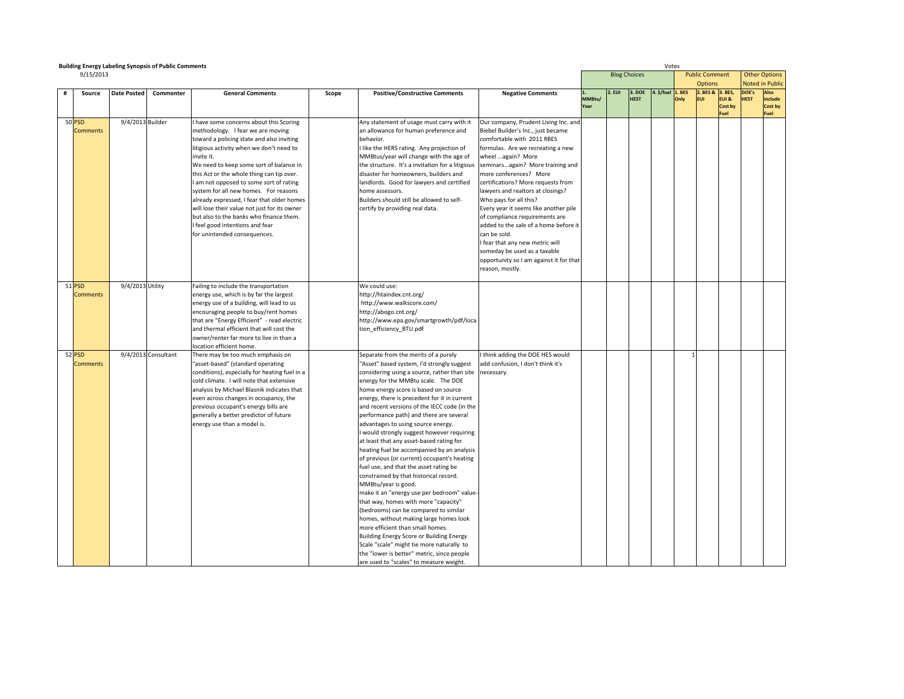|   |                           | <b>Building Energy Labeling Synopsis of Public Comments</b> |                     |                                                                                                                                                                                                                                                                                                                                                                                                                                                                                                                                                                             |       |                                                                                                                                                                                                                                                                                                                                                                                                                                                                                                                                                                                                                                                                                                                                                                                                                                                                                                                                                                                                                                                                                                     | Votes                                                                                                                                                                                                                                                                                                                                                                                                                                                                                                                                                                                                      |                |                     |                       |            |               |                                         |                          |                      |                                    |
|---|---------------------------|-------------------------------------------------------------|---------------------|-----------------------------------------------------------------------------------------------------------------------------------------------------------------------------------------------------------------------------------------------------------------------------------------------------------------------------------------------------------------------------------------------------------------------------------------------------------------------------------------------------------------------------------------------------------------------------|-------|-----------------------------------------------------------------------------------------------------------------------------------------------------------------------------------------------------------------------------------------------------------------------------------------------------------------------------------------------------------------------------------------------------------------------------------------------------------------------------------------------------------------------------------------------------------------------------------------------------------------------------------------------------------------------------------------------------------------------------------------------------------------------------------------------------------------------------------------------------------------------------------------------------------------------------------------------------------------------------------------------------------------------------------------------------------------------------------------------------|------------------------------------------------------------------------------------------------------------------------------------------------------------------------------------------------------------------------------------------------------------------------------------------------------------------------------------------------------------------------------------------------------------------------------------------------------------------------------------------------------------------------------------------------------------------------------------------------------------|----------------|---------------------|-----------------------|------------|---------------|-----------------------------------------|--------------------------|----------------------|------------------------------------|
|   | 9/15/2013                 |                                                             |                     |                                                                                                                                                                                                                                                                                                                                                                                                                                                                                                                                                                             |       |                                                                                                                                                                                                                                                                                                                                                                                                                                                                                                                                                                                                                                                                                                                                                                                                                                                                                                                                                                                                                                                                                                     |                                                                                                                                                                                                                                                                                                                                                                                                                                                                                                                                                                                                            |                | <b>Blog Choices</b> |                       |            |               | <b>Public Comment</b><br><b>Options</b> |                          | <b>Other Options</b> | <b>Noted in Public</b>             |
| # | Source                    | <b>Date Posted</b>                                          | Commenter           | <b>General Comments</b>                                                                                                                                                                                                                                                                                                                                                                                                                                                                                                                                                     | Scope | <b>Positive/Constructive Comments</b>                                                                                                                                                                                                                                                                                                                                                                                                                                                                                                                                                                                                                                                                                                                                                                                                                                                                                                                                                                                                                                                               | <b>Negative Comments</b>                                                                                                                                                                                                                                                                                                                                                                                                                                                                                                                                                                                   | MMBtu/<br>Year | : EUI               | 3. DOE<br><b>HEST</b> | 4. \$/fuel | . BES<br>Only | 2. BES & 3. BES,<br><b>EUI</b>          | EUI &<br>Cost by<br>Fuel | DOE's<br><b>IEST</b> | Also<br>include<br>Cost by<br>Fuel |
|   | 50 PSD<br><b>Comments</b> | 9/4/2013 Builder                                            |                     | I have some concerns about this Scoring<br>methodology. I fear we are moving<br>toward a policing state and also inviting<br>litigious activity when we don't need to<br>invite it.<br>We need to keep some sort of balance in<br>this Act or the whole thing can tip over.<br>I am not opposed to some sort of rating<br>system for all new homes. For reasons<br>already expressed, I fear that older homes<br>will lose their value not just for its owner<br>but also to the banks who finance them.<br>I feel good intentions and fear<br>for unintended consequences. |       | Any statement of usage must carry with it<br>an allowance for human preference and<br>behavior.<br>I like the HERS rating. Any projection of<br>MMBtus/year will change with the age of<br>the structure. It's a invitation for a litigious<br>disaster for homeowners, builders and<br>landlords. Good for lawyers and certified<br>home assessors.<br>Builders should still be allowed to self-<br>certify by providing real data.                                                                                                                                                                                                                                                                                                                                                                                                                                                                                                                                                                                                                                                                | Our company, Prudent Living Inc. and<br>Biebel Builder's Inc., just became<br>comfortable with 2011 RBES<br>formulas. Are we recreating a new<br>wheel again? More<br>seminarsagain? More training and<br>more conferences? More<br>certifications? More requests from<br>lawyers and realtors at closings?<br>Who pays for all this?<br>Every year it seems like another pile<br>of compliance requirements are<br>added to the sale of a home before it<br>can be sold.<br>I fear that any new metric will<br>someday be used as a taxable<br>opportunity so I am against it for that<br>reason, mostly. |                |                     |                       |            |               |                                         |                          |                      |                                    |
|   | 51 PSD<br><b>Comments</b> | 9/4/2013 Utility                                            |                     | Failing to include the transportation<br>energy use, which is by far the largest<br>energy use of a building, will lead to us<br>encouraging people to buy/rent homes<br>that are "Energy Efficient" - read electric<br>and thermal efficient that will cost the<br>owner/renter far more to live in than a<br>location efficient home.                                                                                                                                                                                                                                     |       | We could use:<br>http://htaindex.cnt.org/<br>http://www.walkscore.com/<br>http://abogo.cnt.org/<br>http://www.epa.gov/smartgrowth/pdf/loca<br>tion efficiency BTU.pdf                                                                                                                                                                                                                                                                                                                                                                                                                                                                                                                                                                                                                                                                                                                                                                                                                                                                                                                               |                                                                                                                                                                                                                                                                                                                                                                                                                                                                                                                                                                                                            |                |                     |                       |            |               |                                         |                          |                      |                                    |
|   | 52 PSD<br><b>Comments</b> |                                                             | 9/4/2013 Consultant | There may be too much emphasis on<br>"asset-based" (standard operating<br>conditions), especially for heating fuel in a<br>cold climate. I will note that extensive<br>analysis by Michael Blasnik indicates that<br>even across changes in occupancy, the<br>previous occupant's energy bills are<br>generally a better predictor of future<br>energy use than a model is.                                                                                                                                                                                                 |       | Separate from the merits of a purely<br>'Asset" based system, I'd strongly suggest<br>considering using a source, rather than site<br>energy for the MMBtu scale. The DOE<br>home energy score is based on source<br>energy, there is precedent for it in current<br>and recent versions of the IECC code (in the<br>performance path) and there are several<br>advantages to using source energy.<br>I would strongly suggest however requiring<br>at least that any asset-based rating for<br>heating fuel be accompanied by an analysis<br>of previous (or current) occupant's heating<br>fuel use, and that the asset rating be<br>constrained by that historical record.<br>MMBtu/year is good.<br>make it an "energy use per bedroom" value-<br>that way, homes with more "capacity"<br>(bedrooms) can be compared to similar<br>homes, without making large homes look<br>more efficient than small homes.<br>Building Energy Score or Building Energy<br>Scale "scale" might tie more naturally to<br>the "lower is better" metric, since people<br>are used to "scales" to measure weight. | I think adding the DOE HES would<br>add confusion, I don't think it's<br>necessary.                                                                                                                                                                                                                                                                                                                                                                                                                                                                                                                        |                |                     |                       |            |               |                                         |                          |                      |                                    |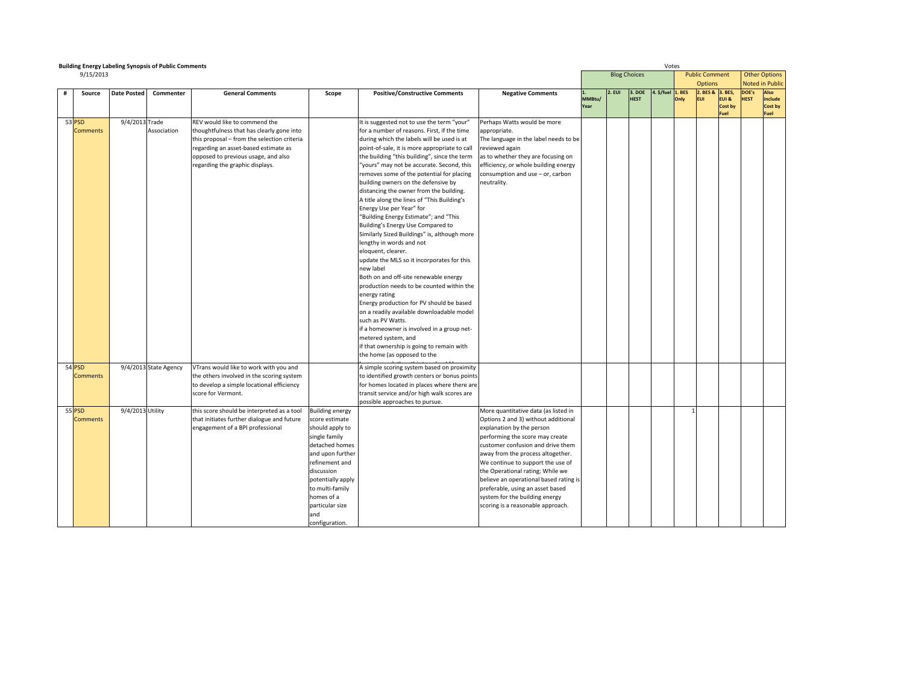|   |                           | <b>Building Energy Labeling Synopsis of Public Comments</b> |                       |                                                                                     |                        |                                                                                            | Votes                                  |                |                     |             |                    |      |                       |                  |             |                      |
|---|---------------------------|-------------------------------------------------------------|-----------------------|-------------------------------------------------------------------------------------|------------------------|--------------------------------------------------------------------------------------------|----------------------------------------|----------------|---------------------|-------------|--------------------|------|-----------------------|------------------|-------------|----------------------|
|   | 9/15/2013                 |                                                             |                       |                                                                                     |                        |                                                                                            |                                        |                | <b>Blog Choices</b> |             |                    |      | <b>Public Comment</b> |                  |             | <b>Other Options</b> |
|   |                           |                                                             |                       |                                                                                     |                        |                                                                                            |                                        |                |                     |             |                    |      | <b>Options</b>        |                  |             | Noted in Public      |
| # | Source                    | <b>Date Posted</b>                                          | Commenter             | <b>General Comments</b>                                                             | Scope                  | <b>Positive/Constructive Comments</b>                                                      | <b>Negative Comments</b>               |                | 2. EUI              | 3. DOE      | $.$ \$/fuel 1. BES |      | 2. BES & 3. BES,      |                  | DOE's       | Also                 |
|   |                           |                                                             |                       |                                                                                     |                        |                                                                                            |                                        | MMBtu/<br>Year |                     | <b>HEST</b> |                    | Only | <b>EUI</b>            | EUI &<br>Cost by | <b>HEST</b> | include<br>Cost by   |
|   |                           |                                                             |                       |                                                                                     |                        |                                                                                            |                                        |                |                     |             |                    |      |                       | Fuel             |             | Fuel                 |
|   | 53 PSD                    | 9/4/2013 Trade                                              |                       | REV would like to commend the                                                       |                        | It is suggested not to use the term "your"                                                 | Perhaps Watts would be more            |                |                     |             |                    |      |                       |                  |             |                      |
|   | <b>Comments</b>           |                                                             | Association           | thoughtfulness that has clearly gone into                                           |                        | for a number of reasons. First, if the time                                                | appropriate.                           |                |                     |             |                    |      |                       |                  |             |                      |
|   |                           |                                                             |                       | this proposal - from the selection criteria                                         |                        | during which the labels will be used is at                                                 | The language in the label needs to be  |                |                     |             |                    |      |                       |                  |             |                      |
|   |                           |                                                             |                       | regarding an asset-based estimate as                                                |                        | point-of-sale, it is more appropriate to call                                              | eviewed again                          |                |                     |             |                    |      |                       |                  |             |                      |
|   |                           |                                                             |                       | opposed to previous usage, and also                                                 |                        | the building "this building", since the term                                               | as to whether they are focusing on     |                |                     |             |                    |      |                       |                  |             |                      |
|   |                           |                                                             |                       | regarding the graphic displays.                                                     |                        | "yours" may not be accurate. Second, this                                                  | efficiency, or whole building energy   |                |                     |             |                    |      |                       |                  |             |                      |
|   |                           |                                                             |                       |                                                                                     |                        | removes some of the potential for placing                                                  | consumption and use - or, carbon       |                |                     |             |                    |      |                       |                  |             |                      |
|   |                           |                                                             |                       |                                                                                     |                        | building owners on the defensive by                                                        | neutrality.                            |                |                     |             |                    |      |                       |                  |             |                      |
|   |                           |                                                             |                       |                                                                                     |                        | distancing the owner from the building.                                                    |                                        |                |                     |             |                    |      |                       |                  |             |                      |
|   |                           |                                                             |                       |                                                                                     |                        | A title along the lines of "This Building's                                                |                                        |                |                     |             |                    |      |                       |                  |             |                      |
|   |                           |                                                             |                       |                                                                                     |                        | Energy Use per Year" for                                                                   |                                        |                |                     |             |                    |      |                       |                  |             |                      |
|   |                           |                                                             |                       |                                                                                     |                        | "Building Energy Estimate"; and "This                                                      |                                        |                |                     |             |                    |      |                       |                  |             |                      |
|   |                           |                                                             |                       |                                                                                     |                        | Building's Energy Use Compared to                                                          |                                        |                |                     |             |                    |      |                       |                  |             |                      |
|   |                           |                                                             |                       |                                                                                     |                        | Similarly Sized Buildings" is, although more                                               |                                        |                |                     |             |                    |      |                       |                  |             |                      |
|   |                           |                                                             |                       |                                                                                     |                        | lengthy in words and not                                                                   |                                        |                |                     |             |                    |      |                       |                  |             |                      |
|   |                           |                                                             |                       |                                                                                     |                        | eloquent, clearer.                                                                         |                                        |                |                     |             |                    |      |                       |                  |             |                      |
|   |                           |                                                             |                       |                                                                                     |                        | update the MLS so it incorporates for this                                                 |                                        |                |                     |             |                    |      |                       |                  |             |                      |
|   |                           |                                                             |                       |                                                                                     |                        | new label                                                                                  |                                        |                |                     |             |                    |      |                       |                  |             |                      |
|   |                           |                                                             |                       |                                                                                     |                        | Both on and off-site renewable energy<br>production needs to be counted within the         |                                        |                |                     |             |                    |      |                       |                  |             |                      |
|   |                           |                                                             |                       |                                                                                     |                        | energy rating                                                                              |                                        |                |                     |             |                    |      |                       |                  |             |                      |
|   |                           |                                                             |                       |                                                                                     |                        | Energy production for PV should be based                                                   |                                        |                |                     |             |                    |      |                       |                  |             |                      |
|   |                           |                                                             |                       |                                                                                     |                        | on a readily available downloadable model                                                  |                                        |                |                     |             |                    |      |                       |                  |             |                      |
|   |                           |                                                             |                       |                                                                                     |                        | such as PV Watts.                                                                          |                                        |                |                     |             |                    |      |                       |                  |             |                      |
|   |                           |                                                             |                       |                                                                                     |                        | if a homeowner is involved in a group net-                                                 |                                        |                |                     |             |                    |      |                       |                  |             |                      |
|   |                           |                                                             |                       |                                                                                     |                        | metered system, and                                                                        |                                        |                |                     |             |                    |      |                       |                  |             |                      |
|   |                           |                                                             |                       |                                                                                     |                        | if that ownership is going to remain with                                                  |                                        |                |                     |             |                    |      |                       |                  |             |                      |
|   |                           |                                                             |                       |                                                                                     |                        | the home (as opposed to the                                                                |                                        |                |                     |             |                    |      |                       |                  |             |                      |
|   |                           |                                                             |                       |                                                                                     |                        |                                                                                            |                                        |                |                     |             |                    |      |                       |                  |             |                      |
|   | 54 PSD<br><b>Comments</b> |                                                             | 9/4/2013 State Agency | VTrans would like to work with you and<br>the others involved in the scoring system |                        | A simple scoring system based on proximity<br>to identified growth centers or bonus points |                                        |                |                     |             |                    |      |                       |                  |             |                      |
|   |                           |                                                             |                       | to develop a simple locational efficiency                                           |                        | for homes located in places where there are                                                |                                        |                |                     |             |                    |      |                       |                  |             |                      |
|   |                           |                                                             |                       | score for Vermont.                                                                  |                        | transit service and/or high walk scores are                                                |                                        |                |                     |             |                    |      |                       |                  |             |                      |
|   |                           |                                                             |                       |                                                                                     |                        | possible approaches to pursue.                                                             |                                        |                |                     |             |                    |      |                       |                  |             |                      |
|   | 55 PSD                    | 9/4/2013 Utility                                            |                       | this score should be interpreted as a tool                                          | <b>Building energy</b> |                                                                                            | More quantitative data (as listed in   |                |                     |             |                    |      |                       |                  |             |                      |
|   | <b>Comments</b>           |                                                             |                       | that initiates further dialogue and future                                          | score estimate         |                                                                                            | Options 2 and 3) without additional    |                |                     |             |                    |      |                       |                  |             |                      |
|   |                           |                                                             |                       | engagement of a BPI professional                                                    | should apply to        |                                                                                            | explanation by the person              |                |                     |             |                    |      |                       |                  |             |                      |
|   |                           |                                                             |                       |                                                                                     | single family          |                                                                                            | performing the score may create        |                |                     |             |                    |      |                       |                  |             |                      |
|   |                           |                                                             |                       |                                                                                     | detached homes         |                                                                                            | customer confusion and drive them      |                |                     |             |                    |      |                       |                  |             |                      |
|   |                           |                                                             |                       |                                                                                     | and upon further       |                                                                                            | away from the process altogether.      |                |                     |             |                    |      |                       |                  |             |                      |
|   |                           |                                                             |                       |                                                                                     | refinement and         |                                                                                            | We continue to support the use of      |                |                     |             |                    |      |                       |                  |             |                      |
|   |                           |                                                             |                       |                                                                                     | discussion             |                                                                                            | the Operational rating; While we       |                |                     |             |                    |      |                       |                  |             |                      |
|   |                           |                                                             |                       |                                                                                     | potentially apply      |                                                                                            | believe an operational based rating is |                |                     |             |                    |      |                       |                  |             |                      |
|   |                           |                                                             |                       |                                                                                     | to multi-family        |                                                                                            | preferable, using an asset based       |                |                     |             |                    |      |                       |                  |             |                      |
|   |                           |                                                             |                       |                                                                                     | homes of a             |                                                                                            | system for the building energy         |                |                     |             |                    |      |                       |                  |             |                      |
|   |                           |                                                             |                       |                                                                                     | particular size        |                                                                                            | scoring is a reasonable approach.      |                |                     |             |                    |      |                       |                  |             |                      |
|   |                           |                                                             |                       |                                                                                     | and                    |                                                                                            |                                        |                |                     |             |                    |      |                       |                  |             |                      |
|   |                           |                                                             |                       |                                                                                     | configuration.         |                                                                                            |                                        |                |                     |             |                    |      |                       |                  |             |                      |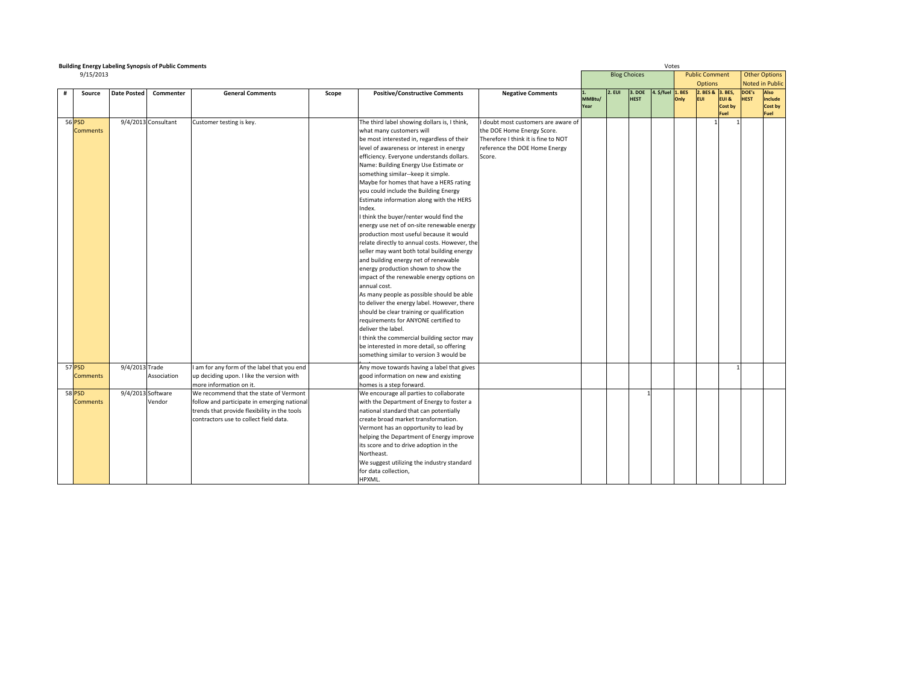|   | <b>Building Energy Labeling Synopsis of Public Comments</b> |                    |                     |                                                                                                                                                                                 |       |                                                                                                                                                                                                                                                                                                                                                                                                                                                                                                                                                                                                                                                                                                                                                                                                                                                                                                                                                                                                                                                                                                                                                                      |                                                                                                                                                   |                |                     |                       | Votes             |      |                                         |                          |                      |                                                |
|---|-------------------------------------------------------------|--------------------|---------------------|---------------------------------------------------------------------------------------------------------------------------------------------------------------------------------|-------|----------------------------------------------------------------------------------------------------------------------------------------------------------------------------------------------------------------------------------------------------------------------------------------------------------------------------------------------------------------------------------------------------------------------------------------------------------------------------------------------------------------------------------------------------------------------------------------------------------------------------------------------------------------------------------------------------------------------------------------------------------------------------------------------------------------------------------------------------------------------------------------------------------------------------------------------------------------------------------------------------------------------------------------------------------------------------------------------------------------------------------------------------------------------|---------------------------------------------------------------------------------------------------------------------------------------------------|----------------|---------------------|-----------------------|-------------------|------|-----------------------------------------|--------------------------|----------------------|------------------------------------------------|
|   | 9/15/2013                                                   |                    |                     |                                                                                                                                                                                 |       |                                                                                                                                                                                                                                                                                                                                                                                                                                                                                                                                                                                                                                                                                                                                                                                                                                                                                                                                                                                                                                                                                                                                                                      |                                                                                                                                                   |                | <b>Blog Choices</b> |                       |                   |      | <b>Public Comment</b><br><b>Options</b> |                          |                      | <b>Other Options</b><br><b>Noted in Public</b> |
| # | Source                                                      | <b>Date Posted</b> | Commenter           | <b>General Comments</b>                                                                                                                                                         | Scope | <b>Positive/Constructive Comments</b>                                                                                                                                                                                                                                                                                                                                                                                                                                                                                                                                                                                                                                                                                                                                                                                                                                                                                                                                                                                                                                                                                                                                | <b>Negative Comments</b>                                                                                                                          | MMBtu/<br>Year | 2. EUI              | 3. DOE<br><b>HEST</b> | 4. \$/fuel 1. BES | Only | 2. BES & 3. BES,<br><b>EUI</b>          | EUI &<br>Cost by<br>Fuel | DOE's<br><b>HEST</b> | Also<br>include<br>Cost by<br>Fuel             |
|   | <b>56 PSD</b><br><b>Comments</b>                            |                    | 9/4/2013 Consultant | Customer testing is key.                                                                                                                                                        |       | The third label showing dollars is, I think,<br>what many customers will<br>be most interested in, regardless of their<br>level of awareness or interest in energy<br>efficiency. Everyone understands dollars.<br>Name: Building Energy Use Estimate or<br>something similar--keep it simple.<br>Maybe for homes that have a HERS rating<br>you could include the Building Energy<br>Estimate information along with the HERS<br>Index.<br>I think the buyer/renter would find the<br>energy use net of on-site renewable energy<br>production most useful because it would<br>relate directly to annual costs. However, the<br>seller may want both total building energy<br>and building energy net of renewable<br>energy production shown to show the<br>impact of the renewable energy options on<br>annual cost.<br>As many people as possible should be able<br>to deliver the energy label. However, there<br>should be clear training or qualification<br>requirements for ANYONE certified to<br>deliver the label.<br>I think the commercial building sector may<br>be interested in more detail, so offering<br>something similar to version 3 would be | doubt most customers are aware of<br>the DOE Home Energy Score.<br>Therefore I think it is fine to NOT<br>reference the DOE Home Energy<br>Score. |                |                     |                       |                   |      |                                         |                          |                      |                                                |
|   | 57 PSD<br><b>Comments</b>                                   | 9/4/2013 Trade     | Association         | I am for any form of the label that you end<br>up deciding upon. I like the version with<br>more information on it.                                                             |       | Any move towards having a label that gives<br>good information on new and existing<br>homes is a step forward.                                                                                                                                                                                                                                                                                                                                                                                                                                                                                                                                                                                                                                                                                                                                                                                                                                                                                                                                                                                                                                                       |                                                                                                                                                   |                |                     |                       |                   |      |                                         |                          |                      |                                                |
|   | 58 PSD<br><b>Comments</b>                                   | 9/4/2013 Software  | Vendor              | We recommend that the state of Vermont<br>follow and participate in emerging national<br>trends that provide flexibility in the tools<br>contractors use to collect field data. |       | We encourage all parties to collaborate<br>with the Department of Energy to foster a<br>national standard that can potentially<br>create broad market transformation.<br>Vermont has an opportunity to lead by<br>helping the Department of Energy improve<br>its score and to drive adoption in the<br>Northeast.<br>We suggest utilizing the industry standard<br>for data collection,<br>HPXML.                                                                                                                                                                                                                                                                                                                                                                                                                                                                                                                                                                                                                                                                                                                                                                   |                                                                                                                                                   |                |                     |                       |                   |      |                                         |                          |                      |                                                |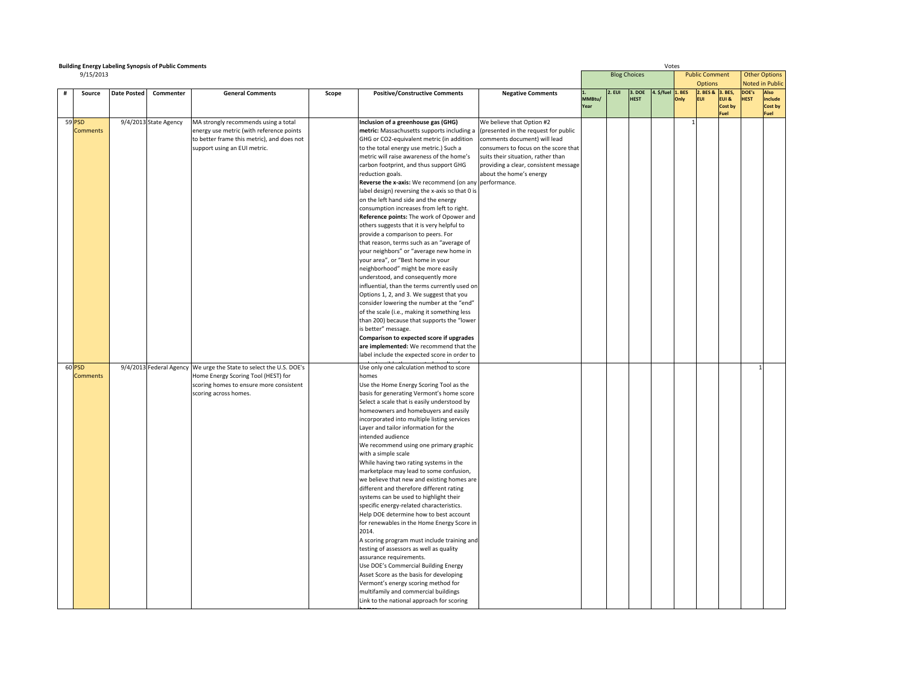|   | <b>Building Energy Labeling Synopsis of Public Comments</b> |                    |                       |                                                                    |       |                                                                                        |                                       |        |                     |             | Votes              |             |                       |                 |                        |                       |
|---|-------------------------------------------------------------|--------------------|-----------------------|--------------------------------------------------------------------|-------|----------------------------------------------------------------------------------------|---------------------------------------|--------|---------------------|-------------|--------------------|-------------|-----------------------|-----------------|------------------------|-----------------------|
|   | 9/15/2013                                                   |                    |                       |                                                                    |       |                                                                                        |                                       |        | <b>Blog Choices</b> |             |                    |             | <b>Public Comment</b> |                 | <b>Other Options</b>   |                       |
|   |                                                             |                    |                       |                                                                    |       |                                                                                        |                                       |        |                     |             |                    |             | <b>Options</b>        |                 | <b>Noted in Public</b> |                       |
| # | Source                                                      | <b>Date Posted</b> | Commenter             | <b>General Comments</b>                                            | Scope | <b>Positive/Constructive Comments</b>                                                  | <b>Negative Comments</b>              |        | 2. EUI              | 3. DOE      | $. $/$ fuel 1. BES |             | 2. BES & 3. BES,      |                 | DOE's                  | Also                  |
|   |                                                             |                    |                       |                                                                    |       |                                                                                        |                                       | MMBtu/ |                     | <b>HEST</b> |                    | <b>Dnly</b> | <b>EUI</b>            | EUI &           | <b>HEST</b>            | include               |
|   |                                                             |                    |                       |                                                                    |       |                                                                                        |                                       | Year   |                     |             |                    |             |                       | Cost by<br>Fuel |                        | Cost by<br><b>uel</b> |
|   | 59 PSD                                                      |                    | 9/4/2013 State Agency | MA strongly recommends using a total                               |       | Inclusion of a greenhouse gas (GHG)                                                    | We believe that Option #2             |        |                     |             |                    |             |                       |                 |                        |                       |
|   | <b>Comments</b>                                             |                    |                       | energy use metric (with reference points                           |       | metric: Massachusetts supports including a                                             | (presented in the request for public  |        |                     |             |                    |             |                       |                 |                        |                       |
|   |                                                             |                    |                       | to better frame this metric), and does not                         |       | GHG or CO2-equivalent metric (in addition                                              | comments document) will lead          |        |                     |             |                    |             |                       |                 |                        |                       |
|   |                                                             |                    |                       | support using an EUI metric.                                       |       | to the total energy use metric.) Such a                                                | consumers to focus on the score that  |        |                     |             |                    |             |                       |                 |                        |                       |
|   |                                                             |                    |                       |                                                                    |       | metric will raise awareness of the home's                                              | suits their situation, rather than    |        |                     |             |                    |             |                       |                 |                        |                       |
|   |                                                             |                    |                       |                                                                    |       | carbon footprint, and thus support GHG                                                 | providing a clear, consistent message |        |                     |             |                    |             |                       |                 |                        |                       |
|   |                                                             |                    |                       |                                                                    |       | reduction goals.                                                                       | about the home's energy               |        |                     |             |                    |             |                       |                 |                        |                       |
|   |                                                             |                    |                       |                                                                    |       | Reverse the x-axis: We recommend (on any performance.                                  |                                       |        |                     |             |                    |             |                       |                 |                        |                       |
|   |                                                             |                    |                       |                                                                    |       | label design) reversing the x-axis so that 0 is                                        |                                       |        |                     |             |                    |             |                       |                 |                        |                       |
|   |                                                             |                    |                       |                                                                    |       | on the left hand side and the energy                                                   |                                       |        |                     |             |                    |             |                       |                 |                        |                       |
|   |                                                             |                    |                       |                                                                    |       | consumption increases from left to right.                                              |                                       |        |                     |             |                    |             |                       |                 |                        |                       |
|   |                                                             |                    |                       |                                                                    |       | Reference points: The work of Opower and                                               |                                       |        |                     |             |                    |             |                       |                 |                        |                       |
|   |                                                             |                    |                       |                                                                    |       | others suggests that it is very helpful to                                             |                                       |        |                     |             |                    |             |                       |                 |                        |                       |
|   |                                                             |                    |                       |                                                                    |       | provide a comparison to peers. For                                                     |                                       |        |                     |             |                    |             |                       |                 |                        |                       |
|   |                                                             |                    |                       |                                                                    |       | that reason, terms such as an "average of                                              |                                       |        |                     |             |                    |             |                       |                 |                        |                       |
|   |                                                             |                    |                       |                                                                    |       | your neighbors" or "average new home in                                                |                                       |        |                     |             |                    |             |                       |                 |                        |                       |
|   |                                                             |                    |                       |                                                                    |       | your area", or "Best home in your                                                      |                                       |        |                     |             |                    |             |                       |                 |                        |                       |
|   |                                                             |                    |                       |                                                                    |       | neighborhood" might be more easily                                                     |                                       |        |                     |             |                    |             |                       |                 |                        |                       |
|   |                                                             |                    |                       |                                                                    |       | understood, and consequently more                                                      |                                       |        |                     |             |                    |             |                       |                 |                        |                       |
|   |                                                             |                    |                       |                                                                    |       | influential, than the terms currently used on                                          |                                       |        |                     |             |                    |             |                       |                 |                        |                       |
|   |                                                             |                    |                       |                                                                    |       | Options 1, 2, and 3. We suggest that you                                               |                                       |        |                     |             |                    |             |                       |                 |                        |                       |
|   |                                                             |                    |                       |                                                                    |       | consider lowering the number at the "end"                                              |                                       |        |                     |             |                    |             |                       |                 |                        |                       |
|   |                                                             |                    |                       |                                                                    |       | of the scale (i.e., making it something less                                           |                                       |        |                     |             |                    |             |                       |                 |                        |                       |
|   |                                                             |                    |                       |                                                                    |       | than 200) because that supports the "lower                                             |                                       |        |                     |             |                    |             |                       |                 |                        |                       |
|   |                                                             |                    |                       |                                                                    |       | is better" message.                                                                    |                                       |        |                     |             |                    |             |                       |                 |                        |                       |
|   |                                                             |                    |                       |                                                                    |       | Comparison to expected score if upgrades                                               |                                       |        |                     |             |                    |             |                       |                 |                        |                       |
|   |                                                             |                    |                       |                                                                    |       | are implemented: We recommend that the<br>label include the expected score in order to |                                       |        |                     |             |                    |             |                       |                 |                        |                       |
|   |                                                             |                    |                       |                                                                    |       |                                                                                        |                                       |        |                     |             |                    |             |                       |                 |                        |                       |
|   | 60 PSD                                                      |                    |                       | 9/4/2013 Federal Agency We urge the State to select the U.S. DOE's |       | Use only one calculation method to score                                               |                                       |        |                     |             |                    |             |                       |                 |                        |                       |
|   | <b>Comments</b>                                             |                    |                       | Home Energy Scoring Tool (HEST) for                                |       | homes                                                                                  |                                       |        |                     |             |                    |             |                       |                 |                        |                       |
|   |                                                             |                    |                       | scoring homes to ensure more consistent                            |       | Use the Home Energy Scoring Tool as the                                                |                                       |        |                     |             |                    |             |                       |                 |                        |                       |
|   |                                                             |                    |                       | scoring across homes.                                              |       | basis for generating Vermont's home score                                              |                                       |        |                     |             |                    |             |                       |                 |                        |                       |
|   |                                                             |                    |                       |                                                                    |       | Select a scale that is easily understood by                                            |                                       |        |                     |             |                    |             |                       |                 |                        |                       |
|   |                                                             |                    |                       |                                                                    |       | homeowners and homebuyers and easily                                                   |                                       |        |                     |             |                    |             |                       |                 |                        |                       |
|   |                                                             |                    |                       |                                                                    |       | incorporated into multiple listing services                                            |                                       |        |                     |             |                    |             |                       |                 |                        |                       |
|   |                                                             |                    |                       |                                                                    |       | Layer and tailor information for the                                                   |                                       |        |                     |             |                    |             |                       |                 |                        |                       |
|   |                                                             |                    |                       |                                                                    |       | intended audience                                                                      |                                       |        |                     |             |                    |             |                       |                 |                        |                       |
|   |                                                             |                    |                       |                                                                    |       | We recommend using one primary graphic<br>with a simple scale                          |                                       |        |                     |             |                    |             |                       |                 |                        |                       |
|   |                                                             |                    |                       |                                                                    |       | While having two rating systems in the                                                 |                                       |        |                     |             |                    |             |                       |                 |                        |                       |
|   |                                                             |                    |                       |                                                                    |       | marketplace may lead to some confusion,                                                |                                       |        |                     |             |                    |             |                       |                 |                        |                       |
|   |                                                             |                    |                       |                                                                    |       | we believe that new and existing homes are                                             |                                       |        |                     |             |                    |             |                       |                 |                        |                       |
|   |                                                             |                    |                       |                                                                    |       | different and therefore different rating                                               |                                       |        |                     |             |                    |             |                       |                 |                        |                       |
|   |                                                             |                    |                       |                                                                    |       | systems can be used to highlight their                                                 |                                       |        |                     |             |                    |             |                       |                 |                        |                       |
|   |                                                             |                    |                       |                                                                    |       | specific energy-related characteristics.                                               |                                       |        |                     |             |                    |             |                       |                 |                        |                       |
|   |                                                             |                    |                       |                                                                    |       | Help DOE determine how to best account                                                 |                                       |        |                     |             |                    |             |                       |                 |                        |                       |
|   |                                                             |                    |                       |                                                                    |       | for renewables in the Home Energy Score in                                             |                                       |        |                     |             |                    |             |                       |                 |                        |                       |
|   |                                                             |                    |                       |                                                                    |       | 2014.                                                                                  |                                       |        |                     |             |                    |             |                       |                 |                        |                       |
|   |                                                             |                    |                       |                                                                    |       | A scoring program must include training and                                            |                                       |        |                     |             |                    |             |                       |                 |                        |                       |
|   |                                                             |                    |                       |                                                                    |       | testing of assessors as well as quality                                                |                                       |        |                     |             |                    |             |                       |                 |                        |                       |
|   |                                                             |                    |                       |                                                                    |       | assurance requirements.                                                                |                                       |        |                     |             |                    |             |                       |                 |                        |                       |
|   |                                                             |                    |                       |                                                                    |       | Use DOE's Commercial Building Energy                                                   |                                       |        |                     |             |                    |             |                       |                 |                        |                       |
|   |                                                             |                    |                       |                                                                    |       | Asset Score as the basis for developing                                                |                                       |        |                     |             |                    |             |                       |                 |                        |                       |
|   |                                                             |                    |                       |                                                                    |       | Vermont's energy scoring method for                                                    |                                       |        |                     |             |                    |             |                       |                 |                        |                       |
|   |                                                             |                    |                       |                                                                    |       | multifamily and commercial buildings                                                   |                                       |        |                     |             |                    |             |                       |                 |                        |                       |
|   |                                                             |                    |                       |                                                                    |       | Link to the national approach for scoring                                              |                                       |        |                     |             |                    |             |                       |                 |                        |                       |
|   |                                                             |                    |                       |                                                                    |       |                                                                                        |                                       |        |                     |             |                    |             |                       |                 |                        |                       |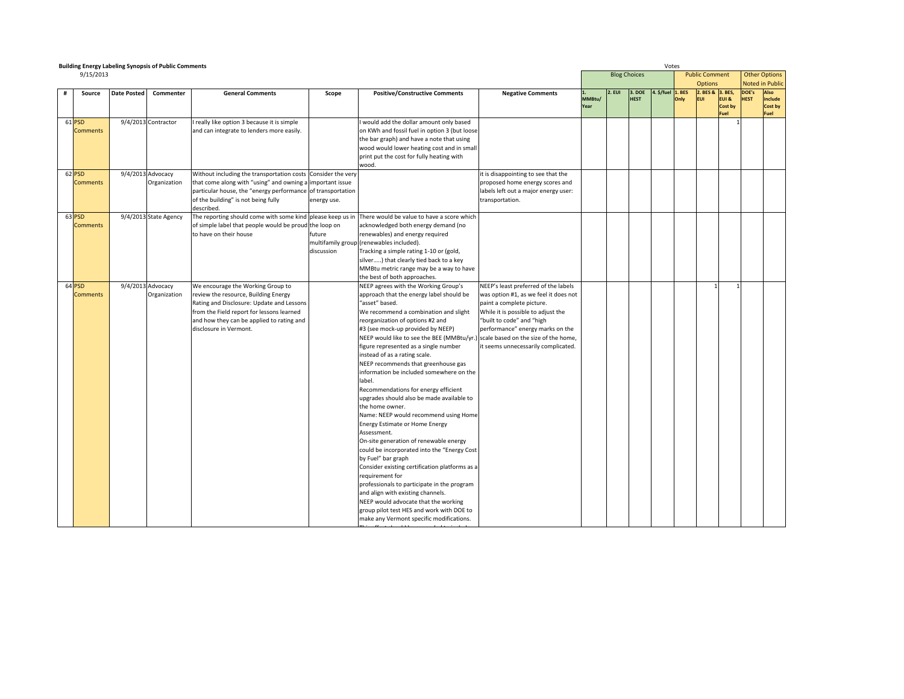| <b>Building Energy Labeling Synopsis of Public Comments</b> |                    |                       |                                                              |             |                                                                                                       |                                       |                |                     |             | Votes             |      |                       |                  |             |                        |
|-------------------------------------------------------------|--------------------|-----------------------|--------------------------------------------------------------|-------------|-------------------------------------------------------------------------------------------------------|---------------------------------------|----------------|---------------------|-------------|-------------------|------|-----------------------|------------------|-------------|------------------------|
| 9/15/2013                                                   |                    |                       |                                                              |             |                                                                                                       |                                       |                | <b>Blog Choices</b> |             |                   |      | <b>Public Comment</b> |                  |             | <b>Other Options</b>   |
|                                                             |                    |                       |                                                              |             |                                                                                                       |                                       |                |                     |             |                   |      | <b>Options</b>        |                  |             | <b>Noted in Public</b> |
| Source                                                      | <b>Date Posted</b> | Commenter             | <b>General Comments</b>                                      | Scope       | <b>Positive/Constructive Comments</b>                                                                 | <b>Negative Comments</b>              |                | $2.$ EUI            | 3. DOE      | 4. \$/fuel 1. BES |      | 2. BES & 3. BES,      |                  | DOE's       | <b>Also</b>            |
|                                                             |                    |                       |                                                              |             |                                                                                                       |                                       | MMBtu/<br>Year |                     | <b>HEST</b> |                   | Only | <b>EUI</b>            | EUI &<br>Cost by | <b>HEST</b> | include<br>Cost by     |
|                                                             |                    |                       |                                                              |             |                                                                                                       |                                       |                |                     |             |                   |      |                       | Fuel             |             | Fuel                   |
| 61 PSD                                                      |                    | 9/4/2013 Contractor   | really like option 3 because it is simple                    |             | would add the dollar amount only based                                                                |                                       |                |                     |             |                   |      |                       |                  |             |                        |
| <b>Comments</b>                                             |                    |                       | and can integrate to lenders more easily.                    |             | on KWh and fossil fuel in option 3 (but loose                                                         |                                       |                |                     |             |                   |      |                       |                  |             |                        |
|                                                             |                    |                       |                                                              |             | the bar graph) and have a note that using                                                             |                                       |                |                     |             |                   |      |                       |                  |             |                        |
|                                                             |                    |                       |                                                              |             | wood would lower heating cost and in small                                                            |                                       |                |                     |             |                   |      |                       |                  |             |                        |
|                                                             |                    |                       |                                                              |             | print put the cost for fully heating with                                                             |                                       |                |                     |             |                   |      |                       |                  |             |                        |
|                                                             |                    |                       |                                                              |             | wood.                                                                                                 |                                       |                |                     |             |                   |      |                       |                  |             |                        |
| 62 PSD                                                      |                    | 9/4/2013 Advocacy     | Without including the transportation costs Consider the very |             |                                                                                                       | it is disappointing to see that the   |                |                     |             |                   |      |                       |                  |             |                        |
| <b>Comments</b>                                             |                    | Organization          | that come along with "using" and owning a important issue    |             |                                                                                                       | proposed home energy scores and       |                |                     |             |                   |      |                       |                  |             |                        |
|                                                             |                    |                       | particular house, the "energy performance of transportation  |             |                                                                                                       | labels left out a major energy user:  |                |                     |             |                   |      |                       |                  |             |                        |
|                                                             |                    |                       | of the building" is not being fully                          | energy use. |                                                                                                       | transportation.                       |                |                     |             |                   |      |                       |                  |             |                        |
|                                                             |                    |                       | described.                                                   |             |                                                                                                       |                                       |                |                     |             |                   |      |                       |                  |             |                        |
| 63 PSD                                                      |                    | 9/4/2013 State Agency |                                                              |             | The reporting should come with some kind please keep us in There would be value to have a score which |                                       |                |                     |             |                   |      |                       |                  |             |                        |
| <b>Comments</b>                                             |                    |                       | of simple label that people would be proud the loop on       |             | acknowledged both energy demand (no                                                                   |                                       |                |                     |             |                   |      |                       |                  |             |                        |
|                                                             |                    |                       | to have on their house                                       | future      | renewables) and energy required                                                                       |                                       |                |                     |             |                   |      |                       |                  |             |                        |
|                                                             |                    |                       |                                                              |             | multifamily group (renewables included).                                                              |                                       |                |                     |             |                   |      |                       |                  |             |                        |
|                                                             |                    |                       |                                                              | discussion  | Tracking a simple rating 1-10 or (gold,                                                               |                                       |                |                     |             |                   |      |                       |                  |             |                        |
|                                                             |                    |                       |                                                              |             | silver) that clearly tied back to a key                                                               |                                       |                |                     |             |                   |      |                       |                  |             |                        |
|                                                             |                    |                       |                                                              |             | MMBtu metric range may be a way to have                                                               |                                       |                |                     |             |                   |      |                       |                  |             |                        |
| 64 PSD                                                      |                    | 9/4/2013 Advocacy     | We encourage the Working Group to                            |             | the best of both approaches.<br>NEEP agrees with the Working Group's                                  | NEEP's least preferred of the labels  |                |                     |             |                   |      |                       |                  |             |                        |
| <b>Comments</b>                                             |                    | Organization          | review the resource, Building Energy                         |             | approach that the energy label should be                                                              | was option #1, as we feel it does not |                |                     |             |                   |      |                       |                  |             |                        |
|                                                             |                    |                       | Rating and Disclosure: Update and Lessons                    |             | "asset" based.                                                                                        | paint a complete picture.             |                |                     |             |                   |      |                       |                  |             |                        |
|                                                             |                    |                       | from the Field report for lessons learned                    |             | We recommend a combination and slight                                                                 | While it is possible to adjust the    |                |                     |             |                   |      |                       |                  |             |                        |
|                                                             |                    |                       | and how they can be applied to rating and                    |             | reorganization of options #2 and                                                                      | "built to code" and "high             |                |                     |             |                   |      |                       |                  |             |                        |
|                                                             |                    |                       | disclosure in Vermont.                                       |             | #3 (see mock-up provided by NEEP)                                                                     | performance" energy marks on the      |                |                     |             |                   |      |                       |                  |             |                        |
|                                                             |                    |                       |                                                              |             | NEEP would like to see the BEE (MMBtu/yr.) scale based on the size of the home,                       |                                       |                |                     |             |                   |      |                       |                  |             |                        |
|                                                             |                    |                       |                                                              |             | figure represented as a single number                                                                 | it seems unnecessarily complicated.   |                |                     |             |                   |      |                       |                  |             |                        |
|                                                             |                    |                       |                                                              |             | instead of as a rating scale.                                                                         |                                       |                |                     |             |                   |      |                       |                  |             |                        |
|                                                             |                    |                       |                                                              |             | NEEP recommends that greenhouse gas                                                                   |                                       |                |                     |             |                   |      |                       |                  |             |                        |
|                                                             |                    |                       |                                                              |             | information be included somewhere on the                                                              |                                       |                |                     |             |                   |      |                       |                  |             |                        |
|                                                             |                    |                       |                                                              |             | label.                                                                                                |                                       |                |                     |             |                   |      |                       |                  |             |                        |
|                                                             |                    |                       |                                                              |             | Recommendations for energy efficient                                                                  |                                       |                |                     |             |                   |      |                       |                  |             |                        |
|                                                             |                    |                       |                                                              |             | upgrades should also be made available to                                                             |                                       |                |                     |             |                   |      |                       |                  |             |                        |
|                                                             |                    |                       |                                                              |             | the home owner.                                                                                       |                                       |                |                     |             |                   |      |                       |                  |             |                        |
|                                                             |                    |                       |                                                              |             | Name: NEEP would recommend using Home                                                                 |                                       |                |                     |             |                   |      |                       |                  |             |                        |
|                                                             |                    |                       |                                                              |             | <b>Energy Estimate or Home Energy</b>                                                                 |                                       |                |                     |             |                   |      |                       |                  |             |                        |
|                                                             |                    |                       |                                                              |             | Assessment.                                                                                           |                                       |                |                     |             |                   |      |                       |                  |             |                        |
|                                                             |                    |                       |                                                              |             | On-site generation of renewable energy                                                                |                                       |                |                     |             |                   |      |                       |                  |             |                        |
|                                                             |                    |                       |                                                              |             | could be incorporated into the "Energy Cost                                                           |                                       |                |                     |             |                   |      |                       |                  |             |                        |
|                                                             |                    |                       |                                                              |             | by Fuel" bar graph                                                                                    |                                       |                |                     |             |                   |      |                       |                  |             |                        |
|                                                             |                    |                       |                                                              |             | Consider existing certification platforms as a                                                        |                                       |                |                     |             |                   |      |                       |                  |             |                        |
|                                                             |                    |                       |                                                              |             | requirement for                                                                                       |                                       |                |                     |             |                   |      |                       |                  |             |                        |
|                                                             |                    |                       |                                                              |             | professionals to participate in the program                                                           |                                       |                |                     |             |                   |      |                       |                  |             |                        |
|                                                             |                    |                       |                                                              |             | and align with existing channels.                                                                     |                                       |                |                     |             |                   |      |                       |                  |             |                        |
|                                                             |                    |                       |                                                              |             | NEEP would advocate that the working                                                                  |                                       |                |                     |             |                   |      |                       |                  |             |                        |
|                                                             |                    |                       |                                                              |             | group pilot test HES and work with DOE to                                                             |                                       |                |                     |             |                   |      |                       |                  |             |                        |
|                                                             |                    |                       |                                                              |             | make any Vermont specific modifications.                                                              |                                       |                |                     |             |                   |      |                       |                  |             |                        |

be expanded to include

Thiseffort should